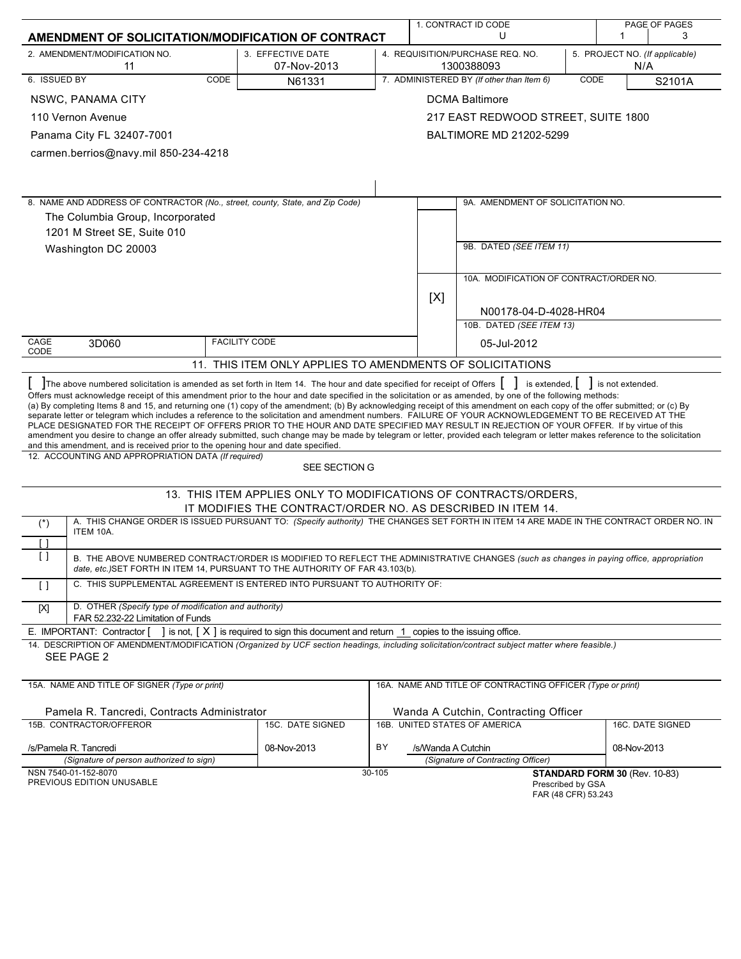|                         |                                                                                                                                                                                      |                                                                                                                                                                                                                                                                                                                                                                                                                                                                                                                                                                                                                                                                                                                                                                                                                                        |        |                    | 1. CONTRACT ID CODE                                                   |      |                                       | PAGE OF PAGES    |
|-------------------------|--------------------------------------------------------------------------------------------------------------------------------------------------------------------------------------|----------------------------------------------------------------------------------------------------------------------------------------------------------------------------------------------------------------------------------------------------------------------------------------------------------------------------------------------------------------------------------------------------------------------------------------------------------------------------------------------------------------------------------------------------------------------------------------------------------------------------------------------------------------------------------------------------------------------------------------------------------------------------------------------------------------------------------------|--------|--------------------|-----------------------------------------------------------------------|------|---------------------------------------|------------------|
|                         | AMENDMENT OF SOLICITATION/MODIFICATION OF CONTRACT                                                                                                                                   |                                                                                                                                                                                                                                                                                                                                                                                                                                                                                                                                                                                                                                                                                                                                                                                                                                        | U<br>1 |                    |                                                                       | 3    |                                       |                  |
|                         | 2. AMENDMENT/MODIFICATION NO.<br>11                                                                                                                                                  | 3. EFFECTIVE DATE<br>07-Nov-2013                                                                                                                                                                                                                                                                                                                                                                                                                                                                                                                                                                                                                                                                                                                                                                                                       |        |                    | 4. REQUISITION/PURCHASE REQ. NO.<br>1300388093                        |      | 5. PROJECT NO. (If applicable)<br>N/A |                  |
| 6. ISSUED BY            | CODE                                                                                                                                                                                 | N61331                                                                                                                                                                                                                                                                                                                                                                                                                                                                                                                                                                                                                                                                                                                                                                                                                                 |        |                    | 7. ADMINISTERED BY (If other than Item 6)                             | CODE |                                       | S2101A           |
| NSWC, PANAMA CITY       |                                                                                                                                                                                      |                                                                                                                                                                                                                                                                                                                                                                                                                                                                                                                                                                                                                                                                                                                                                                                                                                        |        |                    | <b>DCMA Baltimore</b>                                                 |      |                                       |                  |
| 110 Vernon Avenue       |                                                                                                                                                                                      |                                                                                                                                                                                                                                                                                                                                                                                                                                                                                                                                                                                                                                                                                                                                                                                                                                        |        |                    | 217 EAST REDWOOD STREET, SUITE 1800                                   |      |                                       |                  |
|                         | Panama City FL 32407-7001                                                                                                                                                            |                                                                                                                                                                                                                                                                                                                                                                                                                                                                                                                                                                                                                                                                                                                                                                                                                                        |        |                    | BALTIMORE MD 21202-5299                                               |      |                                       |                  |
|                         | carmen.berrios@navy.mil 850-234-4218                                                                                                                                                 |                                                                                                                                                                                                                                                                                                                                                                                                                                                                                                                                                                                                                                                                                                                                                                                                                                        |        |                    |                                                                       |      |                                       |                  |
|                         |                                                                                                                                                                                      |                                                                                                                                                                                                                                                                                                                                                                                                                                                                                                                                                                                                                                                                                                                                                                                                                                        |        |                    |                                                                       |      |                                       |                  |
|                         | 8. NAME AND ADDRESS OF CONTRACTOR (No., street, county, State, and Zip Code)                                                                                                         |                                                                                                                                                                                                                                                                                                                                                                                                                                                                                                                                                                                                                                                                                                                                                                                                                                        |        |                    | 9A. AMENDMENT OF SOLICITATION NO.                                     |      |                                       |                  |
|                         | The Columbia Group, Incorporated                                                                                                                                                     |                                                                                                                                                                                                                                                                                                                                                                                                                                                                                                                                                                                                                                                                                                                                                                                                                                        |        |                    |                                                                       |      |                                       |                  |
|                         | 1201 M Street SE, Suite 010                                                                                                                                                          |                                                                                                                                                                                                                                                                                                                                                                                                                                                                                                                                                                                                                                                                                                                                                                                                                                        |        |                    |                                                                       |      |                                       |                  |
|                         | Washington DC 20003                                                                                                                                                                  |                                                                                                                                                                                                                                                                                                                                                                                                                                                                                                                                                                                                                                                                                                                                                                                                                                        |        |                    | 9B. DATED (SEE ITEM 11)                                               |      |                                       |                  |
|                         |                                                                                                                                                                                      |                                                                                                                                                                                                                                                                                                                                                                                                                                                                                                                                                                                                                                                                                                                                                                                                                                        |        |                    |                                                                       |      |                                       |                  |
|                         |                                                                                                                                                                                      |                                                                                                                                                                                                                                                                                                                                                                                                                                                                                                                                                                                                                                                                                                                                                                                                                                        |        |                    | 10A. MODIFICATION OF CONTRACT/ORDER NO.                               |      |                                       |                  |
|                         |                                                                                                                                                                                      |                                                                                                                                                                                                                                                                                                                                                                                                                                                                                                                                                                                                                                                                                                                                                                                                                                        |        | [X]                |                                                                       |      |                                       |                  |
|                         |                                                                                                                                                                                      |                                                                                                                                                                                                                                                                                                                                                                                                                                                                                                                                                                                                                                                                                                                                                                                                                                        |        |                    | N00178-04-D-4028-HR04                                                 |      |                                       |                  |
|                         |                                                                                                                                                                                      |                                                                                                                                                                                                                                                                                                                                                                                                                                                                                                                                                                                                                                                                                                                                                                                                                                        |        |                    | 10B. DATED (SEE ITEM 13)                                              |      |                                       |                  |
| CAGE                    | 3D060                                                                                                                                                                                | <b>FACILITY CODE</b>                                                                                                                                                                                                                                                                                                                                                                                                                                                                                                                                                                                                                                                                                                                                                                                                                   |        |                    | 05-Jul-2012                                                           |      |                                       |                  |
| CODE                    |                                                                                                                                                                                      | 11. THIS ITEM ONLY APPLIES TO AMENDMENTS OF SOLICITATIONS                                                                                                                                                                                                                                                                                                                                                                                                                                                                                                                                                                                                                                                                                                                                                                              |        |                    |                                                                       |      |                                       |                  |
|                         |                                                                                                                                                                                      | The above numbered solicitation is amended as set forth in Item 14. The hour and date specified for receipt of Offers                                                                                                                                                                                                                                                                                                                                                                                                                                                                                                                                                                                                                                                                                                                  |        |                    | is extended, $\vert \vert$                                            |      | is not extended.                      |                  |
|                         | and this amendment, and is received prior to the opening hour and date specified.                                                                                                    | Offers must acknowledge receipt of this amendment prior to the hour and date specified in the solicitation or as amended, by one of the following methods:<br>(a) By completing Items 8 and 15, and returning one (1) copy of the amendment; (b) By acknowledging receipt of this amendment on each copy of the offer submitted; or (c) By<br>separate letter or telegram which includes a reference to the solicitation and amendment numbers. FAILURE OF YOUR ACKNOWLEDGEMENT TO BE RECEIVED AT THE<br>PLACE DESIGNATED FOR THE RECEIPT OF OFFERS PRIOR TO THE HOUR AND DATE SPECIFIED MAY RESULT IN REJECTION OF YOUR OFFER. If by virtue of this<br>amendment you desire to change an offer already submitted, such change may be made by telegram or letter, provided each telegram or letter makes reference to the solicitation |        |                    |                                                                       |      |                                       |                  |
|                         | 12. ACCOUNTING AND APPROPRIATION DATA (If required)                                                                                                                                  | SEE SECTION G                                                                                                                                                                                                                                                                                                                                                                                                                                                                                                                                                                                                                                                                                                                                                                                                                          |        |                    |                                                                       |      |                                       |                  |
|                         |                                                                                                                                                                                      | 13. THIS ITEM APPLIES ONLY TO MODIFICATIONS OF CONTRACTS/ORDERS.                                                                                                                                                                                                                                                                                                                                                                                                                                                                                                                                                                                                                                                                                                                                                                       |        |                    |                                                                       |      |                                       |                  |
|                         |                                                                                                                                                                                      | IT MODIFIES THE CONTRACT/ORDER NO. AS DESCRIBED IN ITEM 14.                                                                                                                                                                                                                                                                                                                                                                                                                                                                                                                                                                                                                                                                                                                                                                            |        |                    |                                                                       |      |                                       |                  |
| $(*)$<br>ITEM 10A.      |                                                                                                                                                                                      | A. THIS CHANGE ORDER IS ISSUED PURSUANT TO: (Specify authority) THE CHANGES SET FORTH IN ITEM 14 ARE MADE IN THE CONTRACT ORDER NO. IN                                                                                                                                                                                                                                                                                                                                                                                                                                                                                                                                                                                                                                                                                                 |        |                    |                                                                       |      |                                       |                  |
| [ ]                     |                                                                                                                                                                                      |                                                                                                                                                                                                                                                                                                                                                                                                                                                                                                                                                                                                                                                                                                                                                                                                                                        |        |                    |                                                                       |      |                                       |                  |
| $\lceil$ $\rceil$       |                                                                                                                                                                                      | B. THE ABOVE NUMBERED CONTRACT/ORDER IS MODIFIED TO REFLECT THE ADMINISTRATIVE CHANGES (such as changes in paying office, appropriation<br>date, etc.) SET FORTH IN ITEM 14, PURSUANT TO THE AUTHORITY OF FAR 43.103(b).                                                                                                                                                                                                                                                                                                                                                                                                                                                                                                                                                                                                               |        |                    |                                                                       |      |                                       |                  |
| $\Box$                  |                                                                                                                                                                                      | C. THIS SUPPLEMENTAL AGREEMENT IS ENTERED INTO PURSUANT TO AUTHORITY OF:                                                                                                                                                                                                                                                                                                                                                                                                                                                                                                                                                                                                                                                                                                                                                               |        |                    |                                                                       |      |                                       |                  |
| [X]                     | D. OTHER (Specify type of modification and authority)<br>FAR 52.232-22 Limitation of Funds                                                                                           |                                                                                                                                                                                                                                                                                                                                                                                                                                                                                                                                                                                                                                                                                                                                                                                                                                        |        |                    |                                                                       |      |                                       |                  |
|                         |                                                                                                                                                                                      | E. IMPORTANT: Contractor $[ ]$ is not, $[ X ]$ is required to sign this document and return $1$ copies to the issuing office.                                                                                                                                                                                                                                                                                                                                                                                                                                                                                                                                                                                                                                                                                                          |        |                    |                                                                       |      |                                       |                  |
| SEE PAGE 2              |                                                                                                                                                                                      | 14. DESCRIPTION OF AMENDMENT/MODIFICATION (Organized by UCF section headings, including solicitation/contract subject matter where feasible.)                                                                                                                                                                                                                                                                                                                                                                                                                                                                                                                                                                                                                                                                                          |        |                    |                                                                       |      |                                       |                  |
|                         | 15A. NAME AND TITLE OF SIGNER (Type or print)                                                                                                                                        |                                                                                                                                                                                                                                                                                                                                                                                                                                                                                                                                                                                                                                                                                                                                                                                                                                        |        |                    | 16A. NAME AND TITLE OF CONTRACTING OFFICER (Type or print)            |      |                                       |                  |
|                         |                                                                                                                                                                                      |                                                                                                                                                                                                                                                                                                                                                                                                                                                                                                                                                                                                                                                                                                                                                                                                                                        |        |                    |                                                                       |      |                                       |                  |
| 15B. CONTRACTOR/OFFEROR | Pamela R. Tancredi, Contracts Administrator                                                                                                                                          | 15C. DATE SIGNED                                                                                                                                                                                                                                                                                                                                                                                                                                                                                                                                                                                                                                                                                                                                                                                                                       |        |                    | Wanda A Cutchin, Contracting Officer<br>16B. UNITED STATES OF AMERICA |      |                                       | 16C. DATE SIGNED |
|                         |                                                                                                                                                                                      |                                                                                                                                                                                                                                                                                                                                                                                                                                                                                                                                                                                                                                                                                                                                                                                                                                        |        |                    |                                                                       |      |                                       |                  |
| /s/Pamela R. Tancredi   |                                                                                                                                                                                      | 08-Nov-2013                                                                                                                                                                                                                                                                                                                                                                                                                                                                                                                                                                                                                                                                                                                                                                                                                            | ΒY     | /s/Wanda A Cutchin | (Signature of Contracting Officer)                                    |      | 08-Nov-2013                           |                  |
|                         | (Signature of person authorized to sign)<br>NSN 7540-01-152-8070<br>30-105<br>STANDARD FORM 30 (Rev. 10-83)<br>PREVIOUS EDITION UNUSABLE<br>Prescribed by GSA<br>FAR (48 CFR) 53.243 |                                                                                                                                                                                                                                                                                                                                                                                                                                                                                                                                                                                                                                                                                                                                                                                                                                        |        |                    |                                                                       |      |                                       |                  |
|                         |                                                                                                                                                                                      |                                                                                                                                                                                                                                                                                                                                                                                                                                                                                                                                                                                                                                                                                                                                                                                                                                        |        |                    |                                                                       |      |                                       |                  |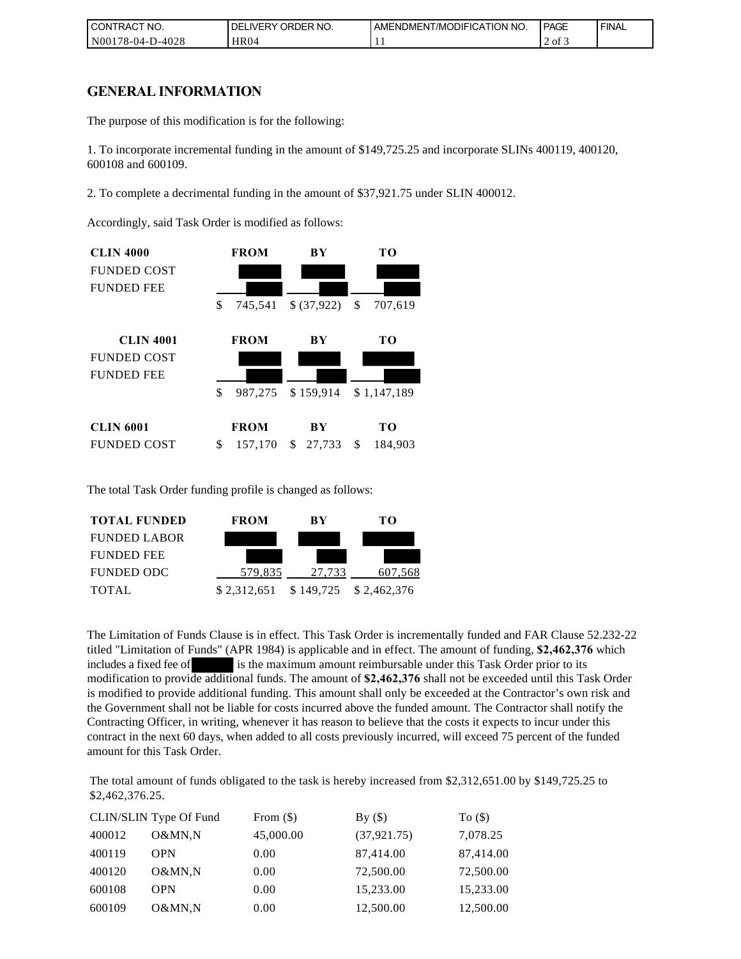| CONTRACT NO.     | ' ORDER NO.<br><b>DELIVERY</b> | <b>I AMENDMENT/MODIFICATION NO.</b> | PAGE   | ' FINAL |
|------------------|--------------------------------|-------------------------------------|--------|---------|
| N00178-04-D-4028 | HR <sub>04</sub>               |                                     | 2 of 3 |         |

## **GENERAL INFORMATION**

The purpose of this modification is for the following:

1. To incorporate incremental funding in the amount of \$149,725.25 and incorporate SLINs 400119, 400120, 600108 and 600109.

2. To complete a decrimental funding in the amount of \$37,921.75 under SLIN 400012.

Accordingly, said Task Order is modified as follows:

| <b>CLIN 4000</b>   | <b>FROM</b>   | BY           | TО             |
|--------------------|---------------|--------------|----------------|
| <b>FUNDED COST</b> |               |              |                |
| <b>FUNDED FEE</b>  |               |              |                |
|                    | \$<br>745,541 | \$ (37,922)  | \$<br>707,619  |
| <b>CLIN 4001</b>   | <b>FROM</b>   | BY           | TО             |
| <b>FUNDED COST</b> |               |              |                |
| <b>FUNDED FEE</b>  |               |              |                |
|                    | \$<br>987.275 | \$159,914    | \$1,147,189    |
| <b>CLIN 6001</b>   | <b>FROM</b>   | BY           | T <sub>0</sub> |
| <b>FUNDED COST</b> | \$<br>157,170 | \$<br>27.733 | \$<br>184,903  |

The total Task Order funding profile is changed as follows:

| <b>TOTAL FUNDED</b> | <b>FROM</b>                          | BY     | TО      |
|---------------------|--------------------------------------|--------|---------|
| <b>FUNDED LABOR</b> |                                      |        |         |
| <b>FUNDED FEE</b>   |                                      |        |         |
| <b>FUNDED ODC</b>   | 579,835                              | 27.733 | 607,568 |
| <b>TOTAL</b>        | $$2,312,651$ $$149,725$ $$2,462,376$ |        |         |

The Limitation of Funds Clause is in effect. This Task Order is incrementally funded and FAR Clause 52.232-22 titled "Limitation of Funds" (APR 1984) is applicable and in effect. The amount of funding, **\$2,462,376** which includes a fixed fee of is the maximum amount reimbursable under this Task Order prior to its modification to provide additional funds. The amount of **\$2,462,376** shall not be exceeded until this Task Order is modified to provide additional funding. This amount shall only be exceeded at the Contractor's own risk and the Government shall not be liable for costs incurred above the funded amount. The Contractor shall notify the Contracting Officer, in writing, whenever it has reason to believe that the costs it expects to incur under this contract in the next 60 days, when added to all costs previously incurred, will exceed 75 percent of the funded amount for this Task Order.

The total amount of funds obligated to the task is hereby increased from \$2,312,651.00 by \$149,725.25 to \$2,462,376.25.

|        | CLIN/SLIN Type Of Fund | From $(\$)$ | By()         | To $($ )  |
|--------|------------------------|-------------|--------------|-----------|
| 400012 | O&MN,N                 | 45,000.00   | (37, 921.75) | 7,078.25  |
| 400119 | <b>OPN</b>             | 0.00        | 87,414.00    | 87,414.00 |
| 400120 | O&MN,N                 | 0.00        | 72,500.00    | 72,500.00 |
| 600108 | OPN                    | 0.00        | 15,233.00    | 15,233.00 |
| 600109 | O&MN,N                 | 0.00        | 12,500.00    | 12,500.00 |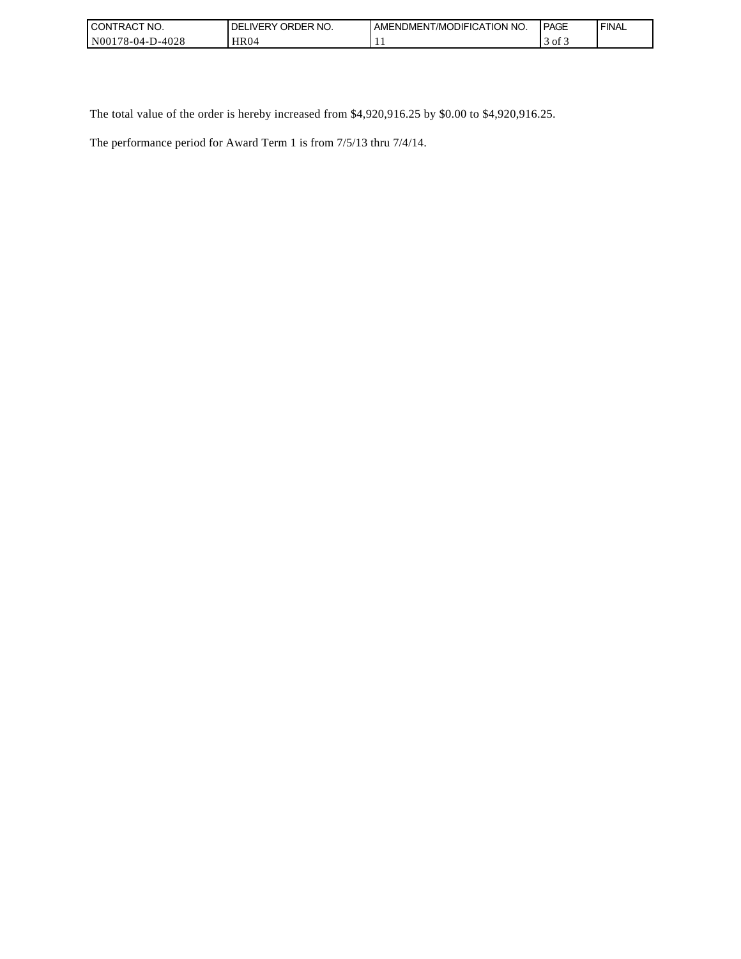| CT NO.<br>l CON<br><b>RAC</b>                                        | ORDER<br>NO.<br>DF<br><b>IVERY</b> | ATION NO.<br>AMENDMENT/MODIFICAT | <b>PAGE</b>      | <b>FINAL</b> |
|----------------------------------------------------------------------|------------------------------------|----------------------------------|------------------|--------------|
| <b>D-4028</b><br>N001<br>$\overline{\phantom{a}}$<br>8-04-<br>v<br>◡ | <b>HR04</b>                        |                                  | $\leq$ of $\sim$ |              |

The total value of the order is hereby increased from \$4,920,916.25 by \$0.00 to \$4,920,916.25.

The performance period for Award Term 1 is from 7/5/13 thru 7/4/14.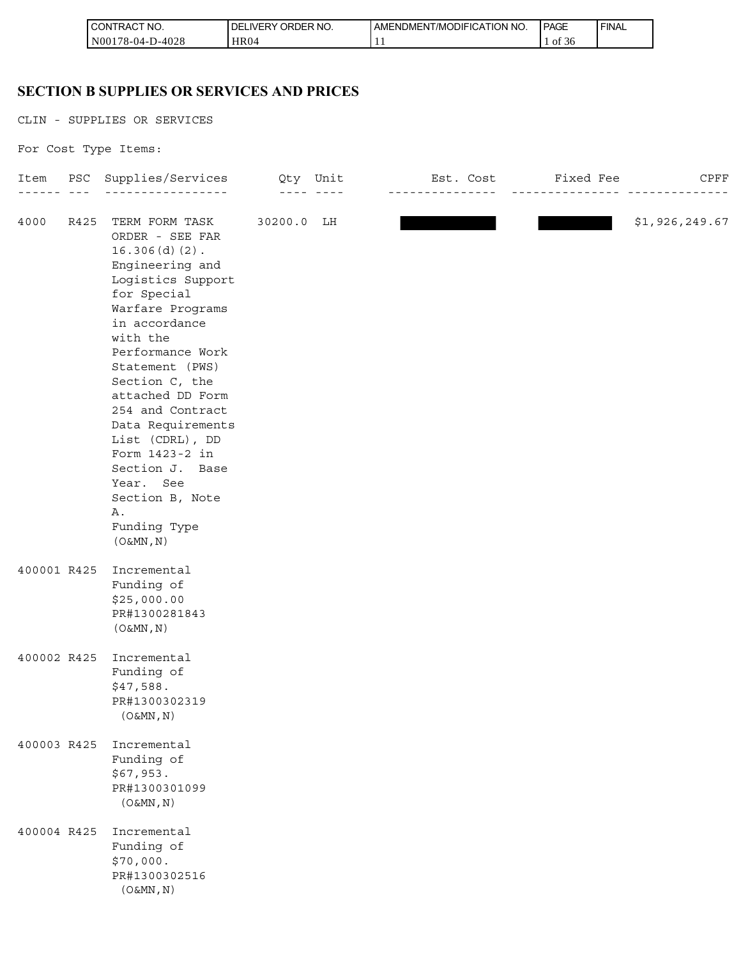| <b>I CONTRACT NO.</b> | NO.<br><b>DELIVERY ORDER</b> | AMENDMENT/MODIFICATION NO. | <b>PAGE</b>                       | <b>FINAL</b> |
|-----------------------|------------------------------|----------------------------|-----------------------------------|--------------|
| $N00178-04-D-4028$    | <b>HR04</b>                  | . .                        | $\sim$ $\sim$ $\sim$<br>0t<br>-36 |              |

# **SECTION B SUPPLIES OR SERVICES AND PRICES**

|             |                                                                                                                                                                                                                                                                                                                                                                                              | CONTRACT NO.<br>N00178-04-D-4028                                                                                                                                                                                                                                                                                                                                                                                          | DELIVERY ORDER NO.<br><b>HR04</b>                                   | AMENDMENT/MODIFICATION NO.<br>11 | <b>PAGE</b><br>1 of 36 | FINAL |                        |
|-------------|----------------------------------------------------------------------------------------------------------------------------------------------------------------------------------------------------------------------------------------------------------------------------------------------------------------------------------------------------------------------------------------------|---------------------------------------------------------------------------------------------------------------------------------------------------------------------------------------------------------------------------------------------------------------------------------------------------------------------------------------------------------------------------------------------------------------------------|---------------------------------------------------------------------|----------------------------------|------------------------|-------|------------------------|
|             |                                                                                                                                                                                                                                                                                                                                                                                              | <b>SECTION B SUPPLIES OR SERVICES AND PRICES</b>                                                                                                                                                                                                                                                                                                                                                                          |                                                                     |                                  |                        |       |                        |
|             |                                                                                                                                                                                                                                                                                                                                                                                              | CLIN - SUPPLIES OR SERVICES                                                                                                                                                                                                                                                                                                                                                                                               |                                                                     |                                  |                        |       |                        |
|             |                                                                                                                                                                                                                                                                                                                                                                                              | For Cost Type Items:                                                                                                                                                                                                                                                                                                                                                                                                      |                                                                     |                                  |                        |       |                        |
| Item        |                                                                                                                                                                                                                                                                                                                                                                                              | PSC Supplies/Services Qty Unit National Est. Cost National Fixed Fee CPFF                                                                                                                                                                                                                                                                                                                                                 |                                                                     |                                  |                        |       |                        |
|             | $\frac{1}{2} \frac{1}{2} \frac{1}{2} \frac{1}{2} \frac{1}{2} \frac{1}{2} \frac{1}{2} \frac{1}{2} \frac{1}{2} \frac{1}{2} \frac{1}{2} \frac{1}{2} \frac{1}{2} \frac{1}{2} \frac{1}{2} \frac{1}{2} \frac{1}{2} \frac{1}{2} \frac{1}{2} \frac{1}{2} \frac{1}{2} \frac{1}{2} \frac{1}{2} \frac{1}{2} \frac{1}{2} \frac{1}{2} \frac{1}{2} \frac{1}{2} \frac{1}{2} \frac{1}{2} \frac{1}{2} \frac{$ | ___________________                                                                                                                                                                                                                                                                                                                                                                                                       | $\begin{array}{ccccccccc} - & - & - & - & - & - & - \\ \end{array}$ | _________________                | ----------             |       | _______ ______________ |
| 4000        | R425                                                                                                                                                                                                                                                                                                                                                                                         | TERM FORM TASK 30200.0 LH<br>ORDER - SEE FAR<br>$16.306(d)$ (2).<br>Engineering and<br>Logistics Support<br>for Special<br>Warfare Programs<br>in accordance<br>with the<br>Performance Work<br>Statement (PWS)<br>Section C, the<br>attached DD Form<br>254 and Contract<br>Data Requirements<br>List (CDRL), DD<br>Form 1423-2 in<br>Section J. Base<br>Year. See<br>Section B, Note<br>Α.<br>Funding Type<br>(O&MN, N) |                                                                     |                                  |                        |       | \$1,926,249.67         |
| 400001 R425 |                                                                                                                                                                                                                                                                                                                                                                                              | Incremental<br>Funding of<br>\$25,000.00<br>PR#1300281843<br>$(0 \& MN, N)$                                                                                                                                                                                                                                                                                                                                               |                                                                     |                                  |                        |       |                        |
| 400002 R425 |                                                                                                                                                                                                                                                                                                                                                                                              | Incremental<br>Funding of<br>\$47,588.<br>PR#1300302319<br>$(0 \& MN, N)$                                                                                                                                                                                                                                                                                                                                                 |                                                                     |                                  |                        |       |                        |
| 400003 R425 |                                                                                                                                                                                                                                                                                                                                                                                              | Incremental<br>Funding of<br>\$67,953.<br>PR#1300301099<br>$(0 \& MN, N)$                                                                                                                                                                                                                                                                                                                                                 |                                                                     |                                  |                        |       |                        |
| 400004 R425 |                                                                                                                                                                                                                                                                                                                                                                                              | Incremental<br>Funding of<br>\$70,000.<br>PR#1300302516<br>$(0 \& MN, N)$                                                                                                                                                                                                                                                                                                                                                 |                                                                     |                                  |                        |       |                        |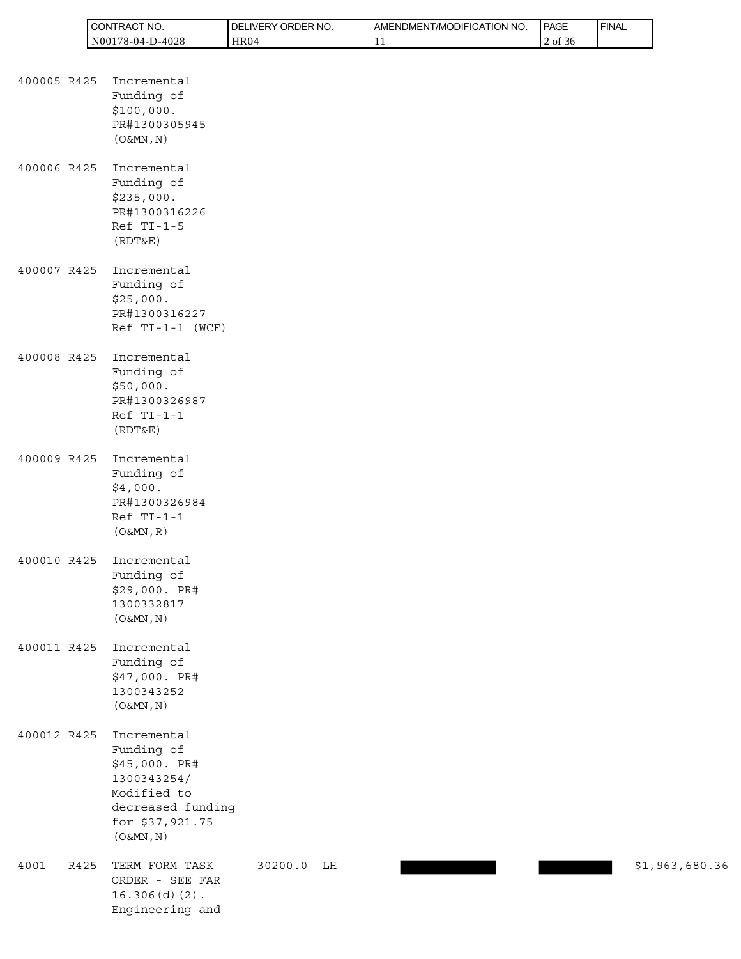| <b>I CONTRACT NO.</b> | <b>IDELIVERY ORDER NO.</b> | <b>I AMENDMENT/MODIFICATION NO.</b> | <b>I PAGE</b> | ' FINAL |
|-----------------------|----------------------------|-------------------------------------|---------------|---------|
| $N00178-04-D-4028$    | HR <sub>04</sub>           |                                     | . 2 of 36     |         |

| 400005 R425 | Incremental<br>Funding of<br>\$100,000.<br>PR#1300305945<br>$(0 \& MN, N)$                                                       |
|-------------|----------------------------------------------------------------------------------------------------------------------------------|
| 400006 R425 | Incremental<br>Funding of<br>\$235,000.<br>PR#1300316226<br>Ref TI-1-5<br>(RDT&E)                                                |
| 400007 R425 | Incremental<br>Funding of<br>\$25,000.<br>PR#1300316227<br>$Ref TI-1-1 (WCF)$                                                    |
| 400008 R425 | Incremental<br>Funding of<br>\$50,000.<br>PR#1300326987<br>$Ref TI-1-1$<br>(RDT&E)                                               |
| 400009 R425 | Incremental<br>Funding of<br>\$4,000.<br>PR#1300326984<br>Ref TI-1-1<br>$(0\&MN, R)$                                             |
| 400010 R425 | Incremental<br>Funding of<br>\$29,000. PR#<br>1300332817<br>(O&MN, N)                                                            |
| 400011 R425 | Incremental<br>Funding of<br>\$47,000. PR#<br>1300343252<br>(O&MN, N)                                                            |
| 400012 R425 | Incremental<br>Funding of<br>\$45,000. PR#<br>1300343254/<br>Modified to<br>decreased funding<br>for \$37,921.75<br>$(0\&MN, N)$ |
| 4001 R425   | TERM FORM TASK<br>ORDER - SEE FAR<br>$16.306(d)(2)$ .                                                                            |

Engineering and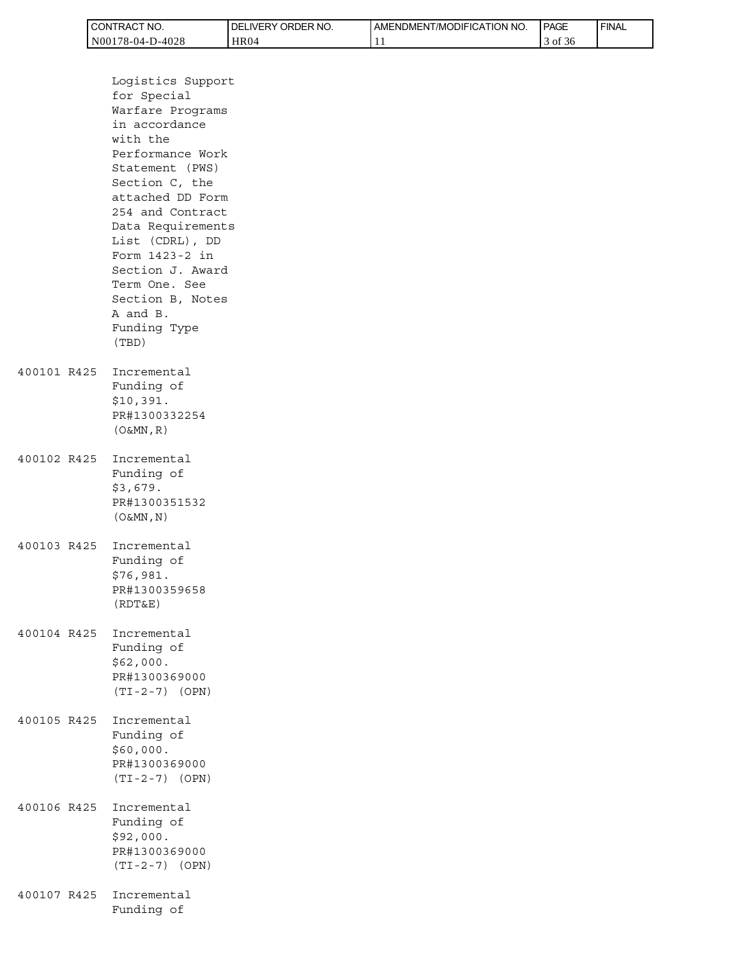| CONTRACT NO.     | ' ORDER NO.<br><b>DELIVERY</b> | AMENDMENT/MODIFICATION NO. | <b>I PAGE</b> | <b>FINAL</b> |
|------------------|--------------------------------|----------------------------|---------------|--------------|
| N00178-04-D-4028 | HR <sub>04</sub>               | . .                        | ' of 36       |              |

 Logistics Support for Special Warfare Programs in accordance with the Performance Work Statement (PWS) Section C, the attached DD Form 254 and Contract Data Requirements List (CDRL), DD Form 1423-2 in Section J. Award Term One. See Section B, Notes A and B. Funding Type (TBD) 400101 R425 Incremental Funding of \$10,391. PR#1300332254  $(O&MN, R)$ 400102 R425 Incremental Funding of \$3,679. PR#1300351532  $(O&MN,N)$ 400103 R425 Incremental Funding of \$76,981. PR#1300359658 (RDT&E) 400104 R425 Incremental Funding of \$62,000. PR#1300369000 (TI-2-7) (OPN) 400105 R425 Incremental Funding of \$60,000. PR#1300369000 (TI-2-7) (OPN) 400106 R425 Incremental Funding of \$92,000. PR#1300369000 (TI-2-7) (OPN) 400107 R425 Incremental Funding of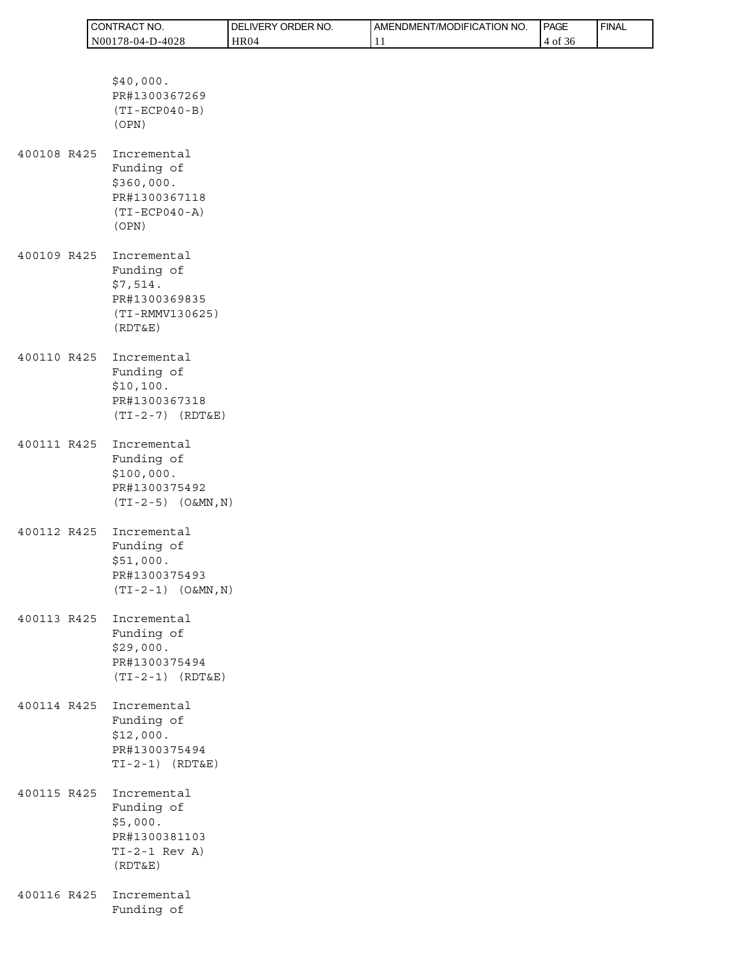|             | CONTRACT NO.                                                                             | DELIVERY ORDER NO. | AMENDMENT/MODIFICATION NO. | PAGE    | <b>FINAL</b> |
|-------------|------------------------------------------------------------------------------------------|--------------------|----------------------------|---------|--------------|
|             | N00178-04-D-4028                                                                         | <b>HR04</b>        | 11                         | 4 of 36 |              |
|             | \$40,000.<br>PR#1300367269<br>$(TI - ECP040 - B)$<br>(OPN)                               |                    |                            |         |              |
| 400108 R425 | Incremental<br>Funding of<br>\$360,000.<br>PR#1300367118<br>$(TI - ECP040 - A)$<br>(OPN) |                    |                            |         |              |
| 400109 R425 | Incremental<br>Funding of<br>\$7,514.<br>PR#1300369835<br>$(TI-RMMV130625)$<br>(RDT&E)   |                    |                            |         |              |
| 400110 R425 | Incremental<br>Funding of<br>\$10, 100.<br>PR#1300367318<br>$(TI-2-7)$ (RDT&E)           |                    |                            |         |              |
| 400111 R425 | Incremental<br>Funding of<br>\$100,000.<br>PR#1300375492<br>$(TI - 2 - 5)$ $(O&MN, N)$   |                    |                            |         |              |
| 400112 R425 | Incremental<br>Funding of<br>\$51,000.<br>PR#1300375493<br>$(TI - 2 - 1)$ $(O&MN, N)$    |                    |                            |         |              |
| 400113 R425 | Incremental<br>Funding of<br>\$29,000.<br>PR#1300375494<br>$(TI-2-1)$ (RDT&E)            |                    |                            |         |              |
| 400114 R425 | Incremental<br>Funding of<br>\$12,000.<br>PR#1300375494<br>$TI-2-1)$ (RDT&E)             |                    |                            |         |              |
| 400115 R425 | Incremental<br>Funding of<br>\$5,000.<br>PR#1300381103<br>$TI-2-1$ Rev A)<br>(RDT&E)     |                    |                            |         |              |
| 400116 R425 | Incremental<br>Funding of                                                                |                    |                            |         |              |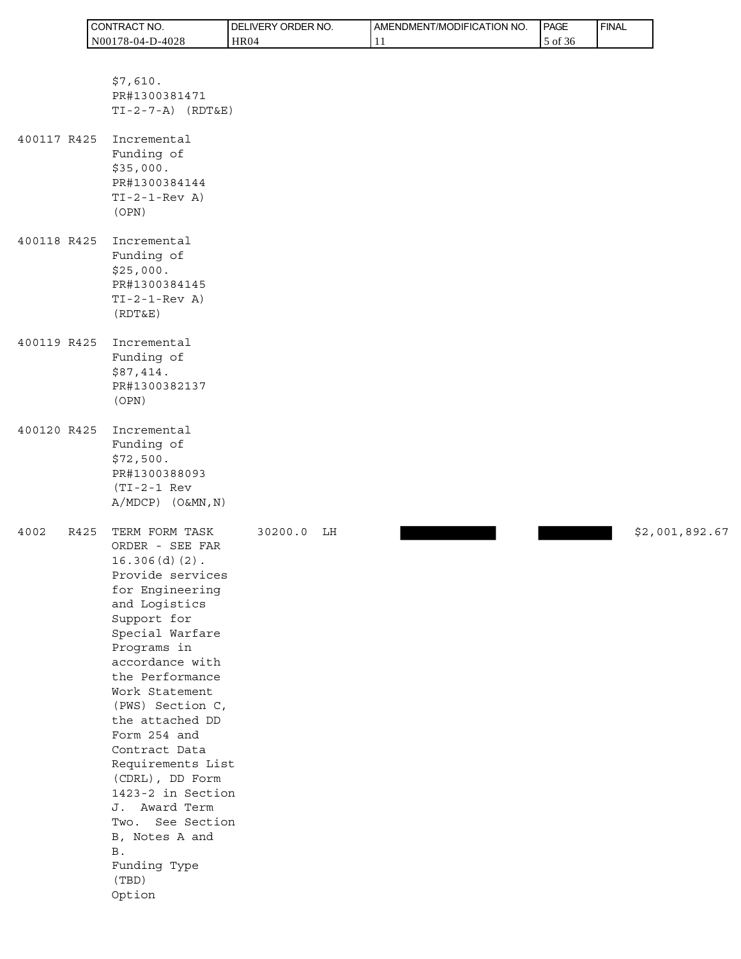|             |      | CONTRACT NO.                                                                                                                                                                                                                                                                                                                                                                                                                                                        | DELIVERY ORDER NO. |    | AMENDMENT/MODIFICATION NO. | PAGE    | <b>FINAL</b> |                |
|-------------|------|---------------------------------------------------------------------------------------------------------------------------------------------------------------------------------------------------------------------------------------------------------------------------------------------------------------------------------------------------------------------------------------------------------------------------------------------------------------------|--------------------|----|----------------------------|---------|--------------|----------------|
|             |      | N00178-04-D-4028                                                                                                                                                                                                                                                                                                                                                                                                                                                    | <b>HR04</b>        |    | 11                         | 5 of 36 |              |                |
| 400117 R425 |      | \$7,610.<br>PR#1300381471<br>$TI-2-7-A)$ (RDT&E)<br>Incremental<br>Funding of<br>\$35,000.<br>PR#1300384144<br>$TI-2-1-Rev A)$<br>(OPN)                                                                                                                                                                                                                                                                                                                             |                    |    |                            |         |              |                |
| 400118 R425 |      | Incremental<br>Funding of<br>\$25,000.<br>PR#1300384145<br>$TI-2-1-Rev A)$<br>(RDT&E)                                                                                                                                                                                                                                                                                                                                                                               |                    |    |                            |         |              |                |
| 400119 R425 |      | Incremental<br>Funding of<br>\$87,414.<br>PR#1300382137<br>(OPN)                                                                                                                                                                                                                                                                                                                                                                                                    |                    |    |                            |         |              |                |
| 400120 R425 |      | Incremental<br>Funding of<br>\$72,500.<br>PR#1300388093<br>$(TI-2-1$ Rev<br>$A/MDCP$ $(O&MN, N)$                                                                                                                                                                                                                                                                                                                                                                    |                    |    |                            |         |              |                |
| 4002        | R425 | TERM FORM TASK<br>ORDER - SEE FAR<br>$16.306(d)$ (2).<br>Provide services<br>for Engineering<br>and Logistics<br>Support for<br>Special Warfare<br>Programs in<br>accordance with<br>the Performance<br>Work Statement<br>(PWS) Section C,<br>the attached DD<br>Form 254 and<br>Contract Data<br>Requirements List<br>(CDRL), DD Form<br>1423-2 in Section<br>J. Award Term<br>Two. See Section<br>B, Notes A and<br><b>B</b> .<br>Funding Type<br>(TBD)<br>Option | 30200.0            | LH |                            |         |              | \$2,001,892.67 |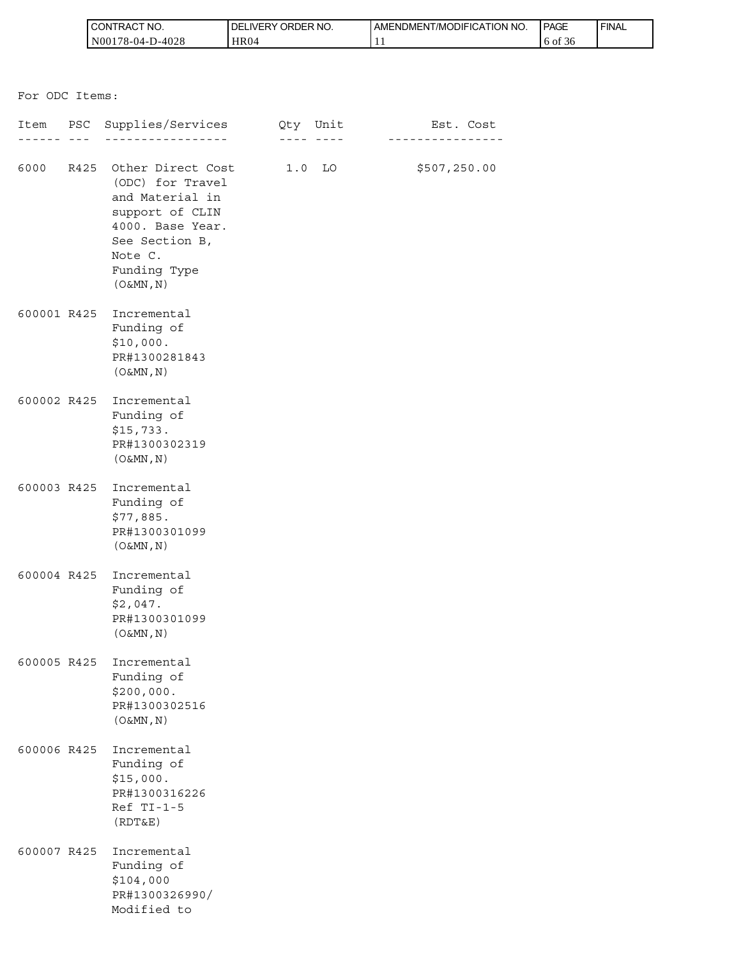| <b>I CONTRACT</b><br>'NO. | ORDER NO.<br>DELIVERY | AMENDMENT/MODIFICATION<br><b>NO</b> | PAGE         | <b>FINAL</b> |
|---------------------------|-----------------------|-------------------------------------|--------------|--------------|
| $NO0178-04-D-4028$        | HR <sub>04</sub>      | . .                                 | 6 of<br>- 56 |              |

|             | Item PSC Supplies/Services Qty Unit<br><u> - - - - - - - - - - - - - -</u>                                                                                          | $\frac{1}{2} \frac{1}{2} \frac{1}{2} \frac{1}{2} \frac{1}{2} \frac{1}{2} \frac{1}{2} \frac{1}{2} \frac{1}{2} \frac{1}{2} \frac{1}{2} \frac{1}{2} \frac{1}{2} \frac{1}{2} \frac{1}{2} \frac{1}{2} \frac{1}{2} \frac{1}{2} \frac{1}{2} \frac{1}{2} \frac{1}{2} \frac{1}{2} \frac{1}{2} \frac{1}{2} \frac{1}{2} \frac{1}{2} \frac{1}{2} \frac{1}{2} \frac{1}{2} \frac{1}{2} \frac{1}{2} \frac{$ | Est. Cost<br>------------ |
|-------------|---------------------------------------------------------------------------------------------------------------------------------------------------------------------|----------------------------------------------------------------------------------------------------------------------------------------------------------------------------------------------------------------------------------------------------------------------------------------------------------------------------------------------------------------------------------------------|---------------------------|
| 6000        | R425 Other Direct Cost<br>(ODC) for Travel<br>and Material in<br>support of CLIN<br>4000. Base Year.<br>See Section B,<br>Note C.<br>Funding Type<br>$(0 \& MN, N)$ | $1.0$ LO                                                                                                                                                                                                                                                                                                                                                                                     | \$507,250.00              |
| 600001 R425 | Incremental<br>Funding of<br>\$10,000.<br>PR#1300281843<br>$(0\&MN, N)$                                                                                             |                                                                                                                                                                                                                                                                                                                                                                                              |                           |
| 600002 R425 | Incremental<br>Funding of<br>\$15,733.<br>PR#1300302319<br>$(0 \& MN, N)$                                                                                           |                                                                                                                                                                                                                                                                                                                                                                                              |                           |
| 600003 R425 | Incremental<br>Funding of<br>\$77,885.<br>PR#1300301099<br>$(0\&MN, N)$                                                                                             |                                                                                                                                                                                                                                                                                                                                                                                              |                           |
| 600004 R425 | Incremental<br>Funding of<br>\$2,047.<br>PR#1300301099<br>(O&MN, N)                                                                                                 |                                                                                                                                                                                                                                                                                                                                                                                              |                           |
| 600005 R425 | Incremental<br>Funding of<br>\$200,000.<br>PR#1300302516<br>$(0 \& MN, N)$                                                                                          |                                                                                                                                                                                                                                                                                                                                                                                              |                           |
| 600006 R425 | Incremental<br>Funding of<br>\$15,000.<br>PR#1300316226<br>Ref TI-1-5<br>(RDT&E)                                                                                    |                                                                                                                                                                                                                                                                                                                                                                                              |                           |
| 600007 R425 | Incremental<br>Funding of<br>\$104,000<br>PR#1300326990/<br>Modified to                                                                                             |                                                                                                                                                                                                                                                                                                                                                                                              |                           |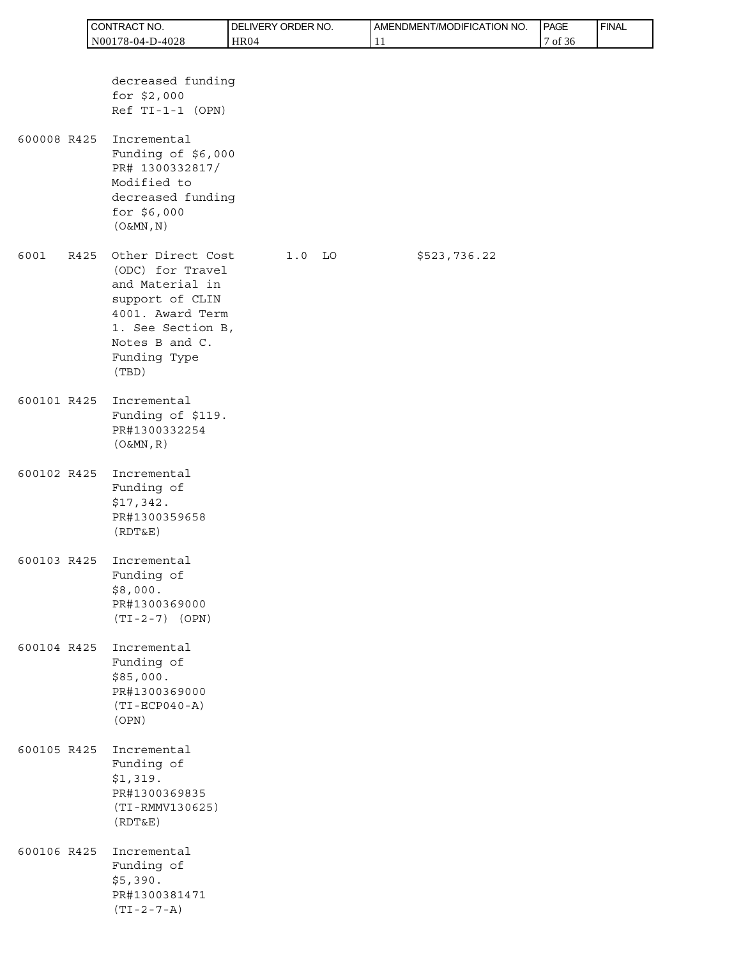|             |      | CONTRACT NO.                                                                                                                                                                        | DELIVERY ORDER NO. | AMENDMENT/MODIFICATION NO. | PAGE    | <b>FINAL</b> |
|-------------|------|-------------------------------------------------------------------------------------------------------------------------------------------------------------------------------------|--------------------|----------------------------|---------|--------------|
|             |      | N00178-04-D-4028                                                                                                                                                                    | <b>HR04</b>        | 11                         | 7 of 36 |              |
| 600008 R425 |      | decreased funding<br>for $$2,000$<br>$Ref TI-1-1 (OPN)$<br>Incremental<br>Funding of \$6,000<br>PR# 1300332817/<br>Modified to<br>decreased funding<br>for $$6,000$<br>$(0\&MN, N)$ |                    |                            |         |              |
| 6001        | R425 | Other Direct Cost<br>(ODC) for Travel<br>and Material in<br>support of CLIN<br>4001. Award Term<br>1. See Section B,<br>Notes B and C.<br>Funding Type<br>(TBD)                     | 1.0<br>LO          | \$523,736.22               |         |              |
| 600101 R425 |      | Incremental<br>Funding of \$119.<br>PR#1300332254<br>(O&MN, R)                                                                                                                      |                    |                            |         |              |
| 600102 R425 |      | Incremental<br>Funding of<br>\$17,342.<br>PR#1300359658<br>(RDT&E)                                                                                                                  |                    |                            |         |              |
| 600103 R425 |      | Incremental<br>Funding of<br>\$8,000.<br>PR#1300369000<br>$(TI-2-7)$ (OPN)                                                                                                          |                    |                            |         |              |
| 600104 R425 |      | Incremental<br>Funding of<br>\$85,000.<br>PR#1300369000<br>$(TI - ECP040 - A)$<br>(OPN)                                                                                             |                    |                            |         |              |
| 600105 R425 |      | Incremental<br>Funding of<br>\$1,319.<br>PR#1300369835<br>(TI-RMMV130625)<br>(RDT&E)                                                                                                |                    |                            |         |              |
| 600106 R425 |      | Incremental<br>Funding of<br>\$5,390.<br>PR#1300381471<br>$(TI - 2 - 7 - A)$                                                                                                        |                    |                            |         |              |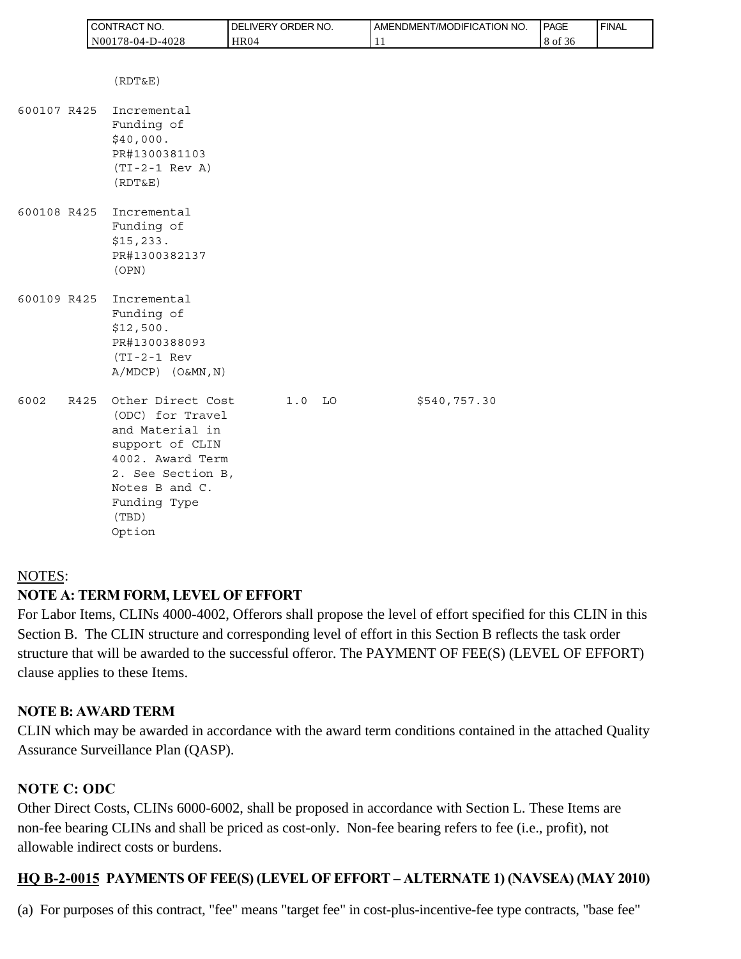|             |      | CONTRACT NO.                                                                                                                                                              | DELIVERY ORDER NO. |          | AMENDMENT/MODIFICATION NO. | PAGE    | <b>FINAL</b> |
|-------------|------|---------------------------------------------------------------------------------------------------------------------------------------------------------------------------|--------------------|----------|----------------------------|---------|--------------|
|             |      | N00178-04-D-4028                                                                                                                                                          | <b>HR04</b>        |          | 11                         | 8 of 36 |              |
|             |      | (RDT&E)                                                                                                                                                                   |                    |          |                            |         |              |
| 600107 R425 |      | Incremental<br>Funding of<br>\$40,000.<br>PR#1300381103<br>$(TI-2-1$ Rev A)<br>(RDT&E)                                                                                    |                    |          |                            |         |              |
| 600108 R425 |      | Incremental<br>Funding of<br>\$15,233.<br>PR#1300382137<br>(OPN)                                                                                                          |                    |          |                            |         |              |
| 600109 R425 |      | Incremental<br>Funding of<br>\$12,500.<br>PR#1300388093<br>$(TI-2-1$ Rev<br>$A/MDCP$ ) $(O&MN,N)$                                                                         |                    |          |                            |         |              |
| 6002        | R425 | Other Direct Cost<br>(ODC) for Travel<br>and Material in<br>support of CLIN<br>4002. Award Term<br>2. See Section B,<br>Notes B and C.<br>Funding Type<br>(TBD)<br>Option |                    | $1.0$ LO | \$540,757.30               |         |              |

# NOTES:

# **NOTE A: TERM FORM, LEVEL OF EFFORT**

For Labor Items, CLINs 4000-4002, Offerors shall propose the level of effort specified for this CLIN in this Section B. The CLIN structure and corresponding level of effort in this Section B reflects the task order structure that will be awarded to the successful offeror. The PAYMENT OF FEE(S) (LEVEL OF EFFORT) clause applies to these Items.

# **NOTE B: AWARD TERM**

CLIN which may be awarded in accordance with the award term conditions contained in the attached Quality Assurance Surveillance Plan (QASP).

# **NOTE C: ODC**

Other Direct Costs, CLINs 6000-6002, shall be proposed in accordance with Section L. These Items are non-fee bearing CLINs and shall be priced as cost-only. Non-fee bearing refers to fee (i.e., profit), not allowable indirect costs or burdens.

# **HQ B-2-0015 PAYMENTS OF FEE(S) (LEVEL OF EFFORT – ALTERNATE 1) (NAVSEA) (MAY 2010)**

(a) For purposes of this contract, "fee" means "target fee" in cost-plus-incentive-fee type contracts, "base fee"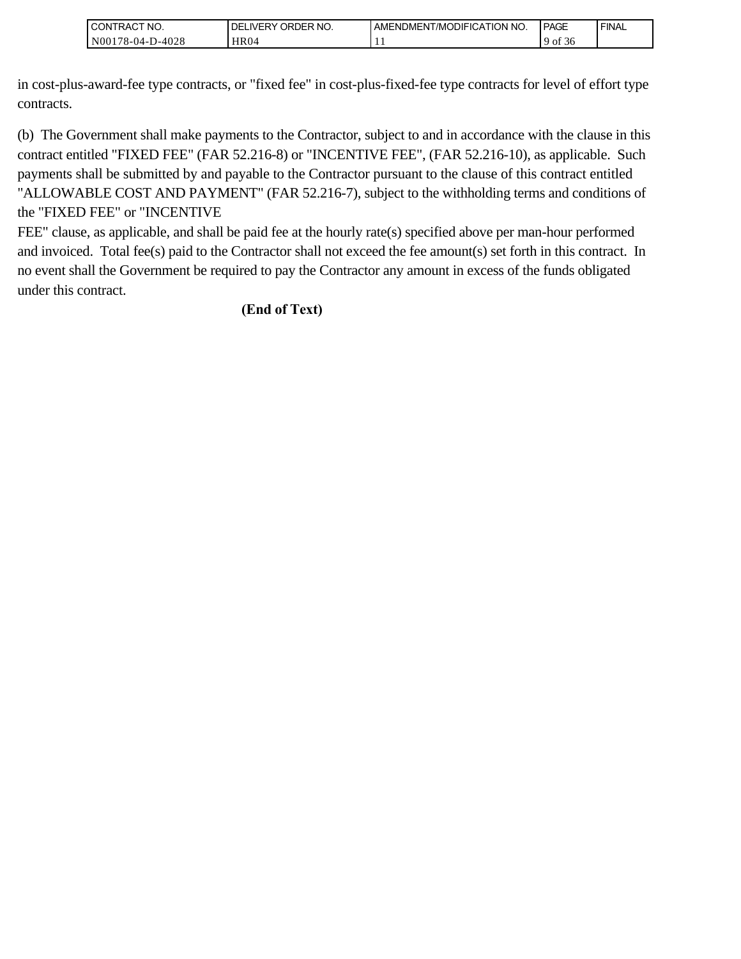| 'NO.<br>$\sim$<br>CONTRACT            | NO.<br>ORDER<br>DE.<br>LIVERY | DMENT/MODIFICATION NO.<br>AMENL | <b>PAGE</b>            | ' FINAL |
|---------------------------------------|-------------------------------|---------------------------------|------------------------|---------|
| D-4028<br>N <sub>001</sub><br>78-04-L | HR <sub>04</sub>              |                                 | $\sim$<br>9 of<br>- 36 |         |

in cost-plus-award-fee type contracts, or "fixed fee" in cost-plus-fixed-fee type contracts for level of effort type contracts.

(b) The Government shall make payments to the Contractor, subject to and in accordance with the clause in this contract entitled "FIXED FEE" (FAR 52.216-8) or "INCENTIVE FEE", (FAR 52.216-10), as applicable. Such payments shall be submitted by and payable to the Contractor pursuant to the clause of this contract entitled "ALLOWABLE COST AND PAYMENT" (FAR 52.216-7), subject to the withholding terms and conditions of the "FIXED FEE" or "INCENTIVE

FEE" clause, as applicable, and shall be paid fee at the hourly rate(s) specified above per man-hour performed and invoiced. Total fee(s) paid to the Contractor shall not exceed the fee amount(s) set forth in this contract. In no event shall the Government be required to pay the Contractor any amount in excess of the funds obligated under this contract.

**(End of Text)**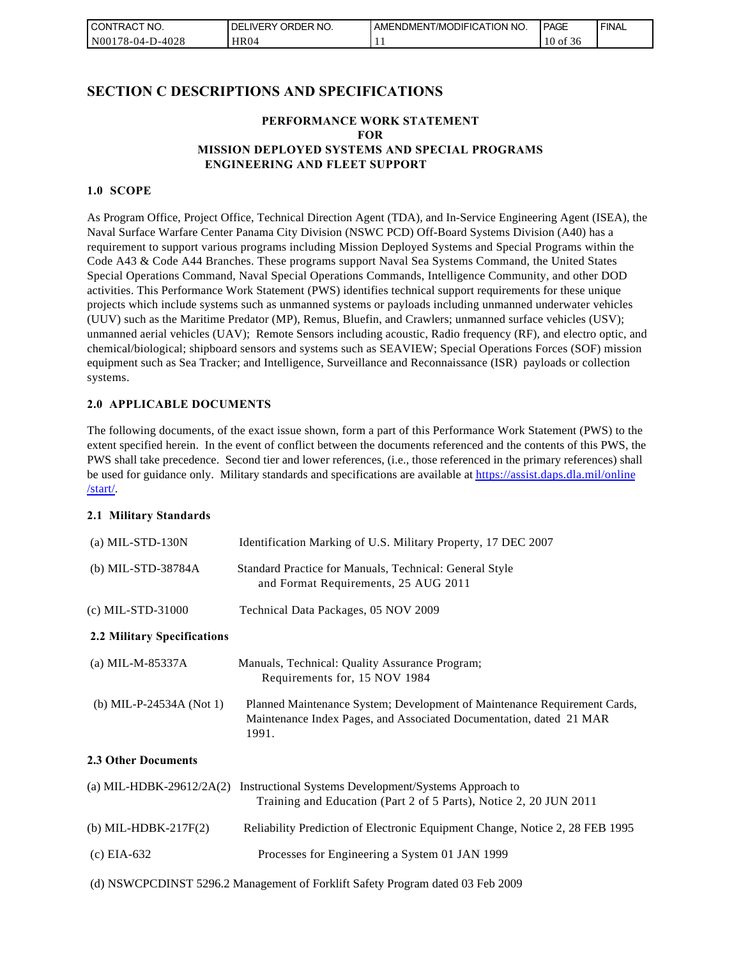| CONTRACT NO.     | NO.<br><b>ORDER</b><br><b>DELIVERY</b> | AMENDMENT/MODIFICATION NO. | PAGE     | <b>FINAL</b> |
|------------------|----------------------------------------|----------------------------|----------|--------------|
| N00178-04-D-4028 | <b>HR04</b>                            | . .                        | 10 of 36 |              |

## **SECTION C DESCRIPTIONS AND SPECIFICATIONS**

## **PERFORMANCE WORK STATEMENT FOR MISSION DEPLOYED SYSTEMS AND SPECIAL PROGRAMS ENGINEERING AND FLEET SUPPORT**

#### **1.0 SCOPE**

#### **2.0 APPLICABLE DOCUMENTS**

#### **2.1 Military Standards**

| CONTRACT NO.<br>N00178-04-D-4028                 | DELIVERY ORDER NO.<br><b>HR04</b>    | AMENDMENT/MODIFICATION NO.<br>11                                                                                                                                                                                                                                                                                                                                                                                                                                                                                                                                                                                                                                                                                                                                                                                                                                                                                                                                                                                                                                                                                                                                                                                                              | <b>PAGE</b><br>10 of 36 | <b>FINAL</b> |
|--------------------------------------------------|--------------------------------------|-----------------------------------------------------------------------------------------------------------------------------------------------------------------------------------------------------------------------------------------------------------------------------------------------------------------------------------------------------------------------------------------------------------------------------------------------------------------------------------------------------------------------------------------------------------------------------------------------------------------------------------------------------------------------------------------------------------------------------------------------------------------------------------------------------------------------------------------------------------------------------------------------------------------------------------------------------------------------------------------------------------------------------------------------------------------------------------------------------------------------------------------------------------------------------------------------------------------------------------------------|-------------------------|--------------|
|                                                  |                                      |                                                                                                                                                                                                                                                                                                                                                                                                                                                                                                                                                                                                                                                                                                                                                                                                                                                                                                                                                                                                                                                                                                                                                                                                                                               |                         |              |
| <b>SECTION C DESCRIPTIONS AND SPECIFICATIONS</b> |                                      |                                                                                                                                                                                                                                                                                                                                                                                                                                                                                                                                                                                                                                                                                                                                                                                                                                                                                                                                                                                                                                                                                                                                                                                                                                               |                         |              |
|                                                  |                                      | PERFORMANCE WORK STATEMENT                                                                                                                                                                                                                                                                                                                                                                                                                                                                                                                                                                                                                                                                                                                                                                                                                                                                                                                                                                                                                                                                                                                                                                                                                    |                         |              |
|                                                  |                                      | FOR<br>MISSION DEPLOYED SYSTEMS AND SPECIAL PROGRAMS                                                                                                                                                                                                                                                                                                                                                                                                                                                                                                                                                                                                                                                                                                                                                                                                                                                                                                                                                                                                                                                                                                                                                                                          |                         |              |
|                                                  | <b>ENGINEERING AND FLEET SUPPORT</b> |                                                                                                                                                                                                                                                                                                                                                                                                                                                                                                                                                                                                                                                                                                                                                                                                                                                                                                                                                                                                                                                                                                                                                                                                                                               |                         |              |
| 1.0 SCOPE                                        |                                      |                                                                                                                                                                                                                                                                                                                                                                                                                                                                                                                                                                                                                                                                                                                                                                                                                                                                                                                                                                                                                                                                                                                                                                                                                                               |                         |              |
| systems.                                         |                                      | As Program Office, Project Office, Technical Direction Agent (TDA), and In-Service Engineering Agent (ISEA), th<br>Naval Surface Warfare Center Panama City Division (NSWC PCD) Off-Board Systems Division (A40) has a<br>requirement to support various programs including Mission Deployed Systems and Special Programs within the<br>Code A43 & Code A44 Branches. These programs support Naval Sea Systems Command, the United States<br>Special Operations Command, Naval Special Operations Commands, Intelligence Community, and other DOD<br>activities. This Performance Work Statement (PWS) identifies technical support requirements for these unique<br>projects which include systems such as unmanned systems or payloads including unmanned underwater vehicles<br>(UUV) such as the Maritime Predator (MP), Remus, Bluefin, and Crawlers; unmanned surface vehicles (USV);<br>unmanned aerial vehicles (UAV); Remote Sensors including acoustic, Radio frequency (RF), and electro optic, an<br>chemical/biological; shipboard sensors and systems such as SEAVIEW; Special Operations Forces (SOF) mission<br>equipment such as Sea Tracker; and Intelligence, Surveillance and Reconnaissance (ISR) payloads or collection |                         |              |
| <b>2.0 APPLICABLE DOCUMENTS</b>                  |                                      |                                                                                                                                                                                                                                                                                                                                                                                                                                                                                                                                                                                                                                                                                                                                                                                                                                                                                                                                                                                                                                                                                                                                                                                                                                               |                         |              |
| /start/.                                         |                                      | The following documents, of the exact issue shown, form a part of this Performance Work Statement (PWS) to the<br>extent specified herein. In the event of conflict between the documents referenced and the contents of this PWS, th<br>PWS shall take precedence. Second tier and lower references, (i.e., those referenced in the primary references) shal<br>be used for guidance only. Military standards and specifications are available at https://assist.daps.dla.mil/online                                                                                                                                                                                                                                                                                                                                                                                                                                                                                                                                                                                                                                                                                                                                                         |                         |              |
| 2.1 Military Standards                           |                                      |                                                                                                                                                                                                                                                                                                                                                                                                                                                                                                                                                                                                                                                                                                                                                                                                                                                                                                                                                                                                                                                                                                                                                                                                                                               |                         |              |
| $(a)$ MIL-STD-130N                               |                                      | Identification Marking of U.S. Military Property, 17 DEC 2007                                                                                                                                                                                                                                                                                                                                                                                                                                                                                                                                                                                                                                                                                                                                                                                                                                                                                                                                                                                                                                                                                                                                                                                 |                         |              |
| (b) MIL-STD-38784A                               |                                      | Standard Practice for Manuals, Technical: General Style<br>and Format Requirements, 25 AUG 2011                                                                                                                                                                                                                                                                                                                                                                                                                                                                                                                                                                                                                                                                                                                                                                                                                                                                                                                                                                                                                                                                                                                                               |                         |              |
| (c) MIL-STD-31000                                | Technical Data Packages, 05 NOV 2009 |                                                                                                                                                                                                                                                                                                                                                                                                                                                                                                                                                                                                                                                                                                                                                                                                                                                                                                                                                                                                                                                                                                                                                                                                                                               |                         |              |
| 2.2 Military Specifications                      |                                      |                                                                                                                                                                                                                                                                                                                                                                                                                                                                                                                                                                                                                                                                                                                                                                                                                                                                                                                                                                                                                                                                                                                                                                                                                                               |                         |              |
| (a) MIL-M-85337A                                 | Requirements for, 15 NOV 1984        | Manuals, Technical: Quality Assurance Program;                                                                                                                                                                                                                                                                                                                                                                                                                                                                                                                                                                                                                                                                                                                                                                                                                                                                                                                                                                                                                                                                                                                                                                                                |                         |              |
| (b) MIL-P-24534A (Not 1)                         | 1991.                                | Planned Maintenance System; Development of Maintenance Requirement Cards,<br>Maintenance Index Pages, and Associated Documentation, dated 21 MAR                                                                                                                                                                                                                                                                                                                                                                                                                                                                                                                                                                                                                                                                                                                                                                                                                                                                                                                                                                                                                                                                                              |                         |              |
| <b>2.3 Other Documents</b>                       |                                      |                                                                                                                                                                                                                                                                                                                                                                                                                                                                                                                                                                                                                                                                                                                                                                                                                                                                                                                                                                                                                                                                                                                                                                                                                                               |                         |              |
| (a) MIL-HDBK-29612/2A(2)                         |                                      | Instructional Systems Development/Systems Approach to<br>Training and Education (Part 2 of 5 Parts), Notice 2, 20 JUN 2011                                                                                                                                                                                                                                                                                                                                                                                                                                                                                                                                                                                                                                                                                                                                                                                                                                                                                                                                                                                                                                                                                                                    |                         |              |
| (b) MIL-HDBK-217 $F(2)$                          |                                      | Reliability Prediction of Electronic Equipment Change, Notice 2, 28 FEB 1995                                                                                                                                                                                                                                                                                                                                                                                                                                                                                                                                                                                                                                                                                                                                                                                                                                                                                                                                                                                                                                                                                                                                                                  |                         |              |
| $(c)$ EIA-632                                    |                                      | Processes for Engineering a System 01 JAN 1999                                                                                                                                                                                                                                                                                                                                                                                                                                                                                                                                                                                                                                                                                                                                                                                                                                                                                                                                                                                                                                                                                                                                                                                                |                         |              |
|                                                  |                                      | (d) NSWCPCDINST 5296.2 Management of Forklift Safety Program dated 03 Feb 2009                                                                                                                                                                                                                                                                                                                                                                                                                                                                                                                                                                                                                                                                                                                                                                                                                                                                                                                                                                                                                                                                                                                                                                |                         |              |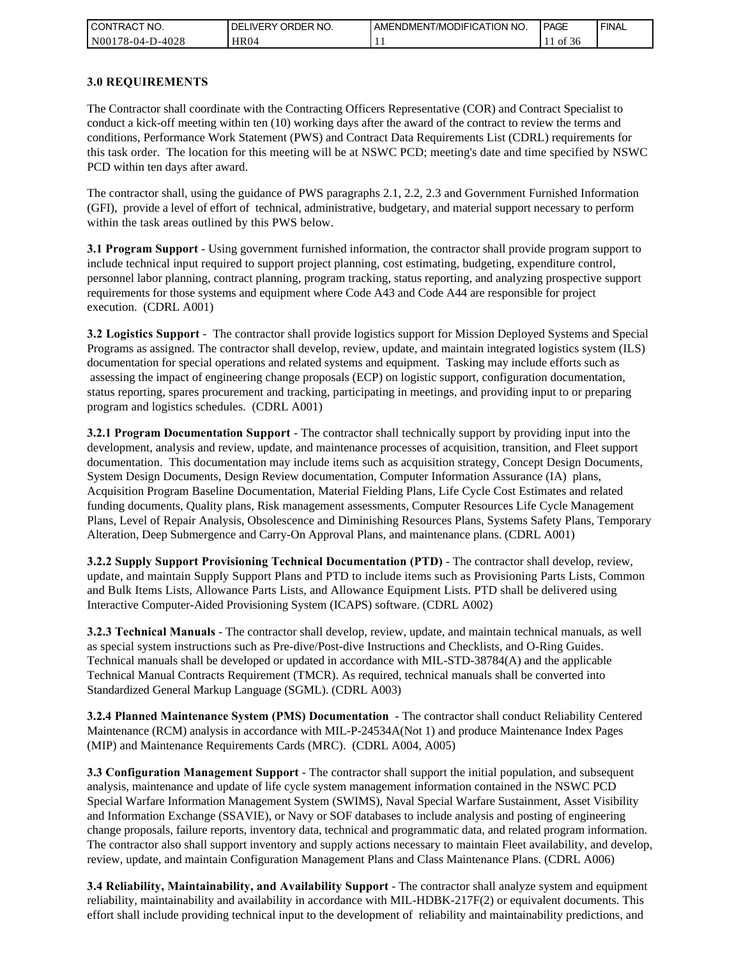| <b>CONTRACT NO.</b> | NO.<br>' ORDER<br><b>DELIVERY</b> | AMENDMENT/MODIFICATION NO. | PAGE      | ' FINAL |
|---------------------|-----------------------------------|----------------------------|-----------|---------|
| N00178-04-D-4028    | HR04                              | . .                        | ΟĪ<br>-30 |         |

### **3.0 REQUIREMENTS**

The Contractor shall coordinate with the Contracting Officers Representative (COR) and Contract Specialist to conduct a kick-off meeting within ten (10) working days after the award of the contract to review the terms and conditions, Performance Work Statement (PWS) and Contract Data Requirements List (CDRL) requirements for this task order. The location for this meeting will be at NSWC PCD; meeting's date and time specified by NSWC PCD within ten days after award.

The contractor shall, using the guidance of PWS paragraphs 2.1, 2.2, 2.3 and Government Furnished Information (GFI), provide a level of effort of technical, administrative, budgetary, and material support necessary to perform within the task areas outlined by this PWS below.

**3.1 Program Support** - Using government furnished information, the contractor shall provide program support to include technical input required to support project planning, cost estimating, budgeting, expenditure control, personnel labor planning, contract planning, program tracking, status reporting, and analyzing prospective support requirements for those systems and equipment where Code A43 and Code A44 are responsible for project execution. (CDRL A001)

**3.2 Logistics Support** - The contractor shall provide logistics support for Mission Deployed Systems and Special Programs as assigned. The contractor shall develop, review, update, and maintain integrated logistics system (ILS) documentation for special operations and related systems and equipment. Tasking may include efforts such as assessing the impact of engineering change proposals (ECP) on logistic support, configuration documentation, status reporting, spares procurement and tracking, participating in meetings, and providing input to or preparing program and logistics schedules. (CDRL A001)

**3.2.1 Program Documentation Support** - The contractor shall technically support by providing input into the development, analysis and review, update, and maintenance processes of acquisition, transition, and Fleet support documentation. This documentation may include items such as acquisition strategy, Concept Design Documents, System Design Documents, Design Review documentation, Computer Information Assurance (IA) plans, Acquisition Program Baseline Documentation, Material Fielding Plans, Life Cycle Cost Estimates and related funding documents, Quality plans, Risk management assessments, Computer Resources Life Cycle Management Plans, Level of Repair Analysis, Obsolescence and Diminishing Resources Plans, Systems Safety Plans, Temporary Alteration, Deep Submergence and Carry-On Approval Plans, and maintenance plans. (CDRL A001)

**3.2.2 Supply Support Provisioning Technical Documentation (PTD)** - The contractor shall develop, review, update, and maintain Supply Support Plans and PTD to include items such as Provisioning Parts Lists, Common and Bulk Items Lists, Allowance Parts Lists, and Allowance Equipment Lists. PTD shall be delivered using Interactive Computer-Aided Provisioning System (ICAPS) software. (CDRL A002)

**3.2.3 Technical Manuals** - The contractor shall develop, review, update, and maintain technical manuals, as well as special system instructions such as Pre-dive/Post-dive Instructions and Checklists, and O-Ring Guides. Technical manuals shall be developed or updated in accordance with MIL-STD-38784(A) and the applicable Technical Manual Contracts Requirement (TMCR). As required, technical manuals shall be converted into Standardized General Markup Language (SGML). (CDRL A003)

**3.2.4 Planned Maintenance System (PMS) Documentation** - The contractor shall conduct Reliability Centered Maintenance (RCM) analysis in accordance with MIL-P-24534A(Not 1) and produce Maintenance Index Pages (MIP) and Maintenance Requirements Cards (MRC). (CDRL A004, A005)

**3.3 Configuration Management Support** - The contractor shall support the initial population, and subsequent analysis, maintenance and update of life cycle system management information contained in the NSWC PCD Special Warfare Information Management System (SWIMS), Naval Special Warfare Sustainment, Asset Visibility and Information Exchange (SSAVIE), or Navy or SOF databases to include analysis and posting of engineering change proposals, failure reports, inventory data, technical and programmatic data, and related program information. The contractor also shall support inventory and supply actions necessary to maintain Fleet availability, and develop, review, update, and maintain Configuration Management Plans and Class Maintenance Plans. (CDRL A006)

**3.4 Reliability, Maintainability, and Availability Support** - The contractor shall analyze system and equipment reliability, maintainability and availability in accordance with MIL-HDBK-217F(2) or equivalent documents. This effort shall include providing technical input to the development of reliability and maintainability predictions, and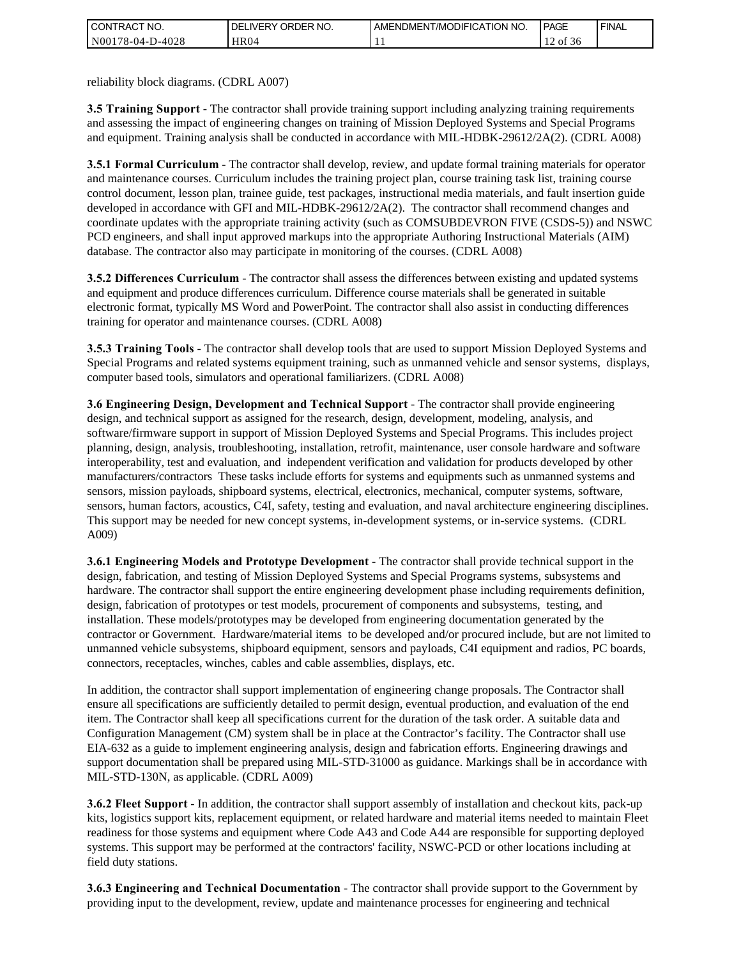| I CONTRACT NO.   | <b>I DELIVERY ORDER NO.</b> | LAMENDMENT/MODIFICATION NO. | PAGE        | <b>FINAL</b> |
|------------------|-----------------------------|-----------------------------|-------------|--------------|
| N00178-04-D-4028 | <b>HR04</b>                 |                             | ' of<br>-56 |              |

reliability block diagrams. (CDRL A007)

**3.5 Training Support** - The contractor shall provide training support including analyzing training requirements and assessing the impact of engineering changes on training of Mission Deployed Systems and Special Programs and equipment. Training analysis shall be conducted in accordance with MIL-HDBK-29612/2A(2). (CDRL A008)

**3.5.1 Formal Curriculum** - The contractor shall develop, review, and update formal training materials for operator and maintenance courses. Curriculum includes the training project plan, course training task list, training course control document, lesson plan, trainee guide, test packages, instructional media materials, and fault insertion guide developed in accordance with GFI and MIL-HDBK-29612/2A(2). The contractor shall recommend changes and coordinate updates with the appropriate training activity (such as COMSUBDEVRON FIVE (CSDS-5)) and NSWC PCD engineers, and shall input approved markups into the appropriate Authoring Instructional Materials (AIM) database. The contractor also may participate in monitoring of the courses. (CDRL A008)

**3.5.2 Differences Curriculum** - The contractor shall assess the differences between existing and updated systems and equipment and produce differences curriculum. Difference course materials shall be generated in suitable electronic format, typically MS Word and PowerPoint. The contractor shall also assist in conducting differences training for operator and maintenance courses. (CDRL A008)

**3.5.3 Training Tools** - The contractor shall develop tools that are used to support Mission Deployed Systems and Special Programs and related systems equipment training, such as unmanned vehicle and sensor systems, displays, computer based tools, simulators and operational familiarizers. (CDRL A008)

**3.6 Engineering Design, Development and Technical Support** - The contractor shall provide engineering design, and technical support as assigned for the research, design, development, modeling, analysis, and software/firmware support in support of Mission Deployed Systems and Special Programs. This includes project planning, design, analysis, troubleshooting, installation, retrofit, maintenance, user console hardware and software interoperability, test and evaluation, and independent verification and validation for products developed by other manufacturers/contractors These tasks include efforts for systems and equipments such as unmanned systems and sensors, mission payloads, shipboard systems, electrical, electronics, mechanical, computer systems, software, sensors, human factors, acoustics, C4I, safety, testing and evaluation, and naval architecture engineering disciplines. This support may be needed for new concept systems, in-development systems, or in-service systems. (CDRL A009)

**3.6.1 Engineering Models and Prototype Development** - The contractor shall provide technical support in the design, fabrication, and testing of Mission Deployed Systems and Special Programs systems, subsystems and hardware. The contractor shall support the entire engineering development phase including requirements definition, design, fabrication of prototypes or test models, procurement of components and subsystems, testing, and installation. These models/prototypes may be developed from engineering documentation generated by the contractor or Government. Hardware/material items to be developed and/or procured include, but are not limited to unmanned vehicle subsystems, shipboard equipment, sensors and payloads, C4I equipment and radios, PC boards, connectors, receptacles, winches, cables and cable assemblies, displays, etc.

In addition, the contractor shall support implementation of engineering change proposals. The Contractor shall ensure all specifications are sufficiently detailed to permit design, eventual production, and evaluation of the end item. The Contractor shall keep all specifications current for the duration of the task order. A suitable data and Configuration Management (CM) system shall be in place at the Contractor's facility. The Contractor shall use EIA-632 as a guide to implement engineering analysis, design and fabrication efforts. Engineering drawings and support documentation shall be prepared using MIL-STD-31000 as guidance. Markings shall be in accordance with MIL-STD-130N, as applicable. (CDRL A009)

**3.6.2 Fleet Support** - In addition, the contractor shall support assembly of installation and checkout kits, pack-up kits, logistics support kits, replacement equipment, or related hardware and material items needed to maintain Fleet readiness for those systems and equipment where Code A43 and Code A44 are responsible for supporting deployed systems. This support may be performed at the contractors' facility, NSWC-PCD or other locations including at field duty stations.

**3.6.3 Engineering and Technical Documentation** - The contractor shall provide support to the Government by providing input to the development, review, update and maintenance processes for engineering and technical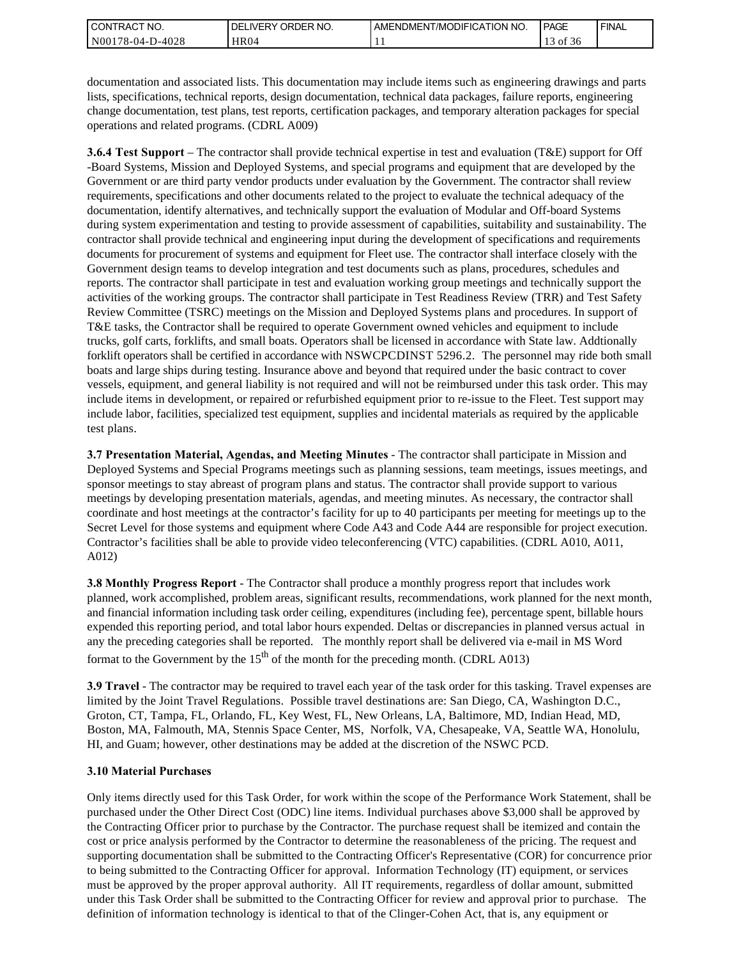| I CONTRACT NO.   | NO.<br>ORDER<br><b>DELIVERY</b> | AMENDMENT/MODIFICATION NO. | <b>PAGE</b>                       | ' FINAL |
|------------------|---------------------------------|----------------------------|-----------------------------------|---------|
| N00178-04-D-4028 | HR04                            | . .                        | $\sim$ $\sim$ $\sim$<br>0Ī<br>-30 |         |

documentation and associated lists. This documentation may include items such as engineering drawings and parts lists, specifications, technical reports, design documentation, technical data packages, failure reports, engineering change documentation, test plans, test reports, certification packages, and temporary alteration packages for special operations and related programs. (CDRL A009)

**3.6.4 Test Support** – The contractor shall provide technical expertise in test and evaluation (T&E) support for Off -Board Systems, Mission and Deployed Systems, and special programs and equipment that are developed by the Government or are third party vendor products under evaluation by the Government. The contractor shall review requirements, specifications and other documents related to the project to evaluate the technical adequacy of the documentation, identify alternatives, and technically support the evaluation of Modular and Off-board Systems during system experimentation and testing to provide assessment of capabilities, suitability and sustainability. The contractor shall provide technical and engineering input during the development of specifications and requirements documents for procurement of systems and equipment for Fleet use. The contractor shall interface closely with the Government design teams to develop integration and test documents such as plans, procedures, schedules and reports. The contractor shall participate in test and evaluation working group meetings and technically support the activities of the working groups. The contractor shall participate in Test Readiness Review (TRR) and Test Safety Review Committee (TSRC) meetings on the Mission and Deployed Systems plans and procedures. In support of T&E tasks, the Contractor shall be required to operate Government owned vehicles and equipment to include trucks, golf carts, forklifts, and small boats. Operators shall be licensed in accordance with State law. Addtionally forklift operators shall be certified in accordance with NSWCPCDINST 5296.2. The personnel may ride both small boats and large ships during testing. Insurance above and beyond that required under the basic contract to cover vessels, equipment, and general liability is not required and will not be reimbursed under this task order. This may include items in development, or repaired or refurbished equipment prior to re-issue to the Fleet. Test support may include labor, facilities, specialized test equipment, supplies and incidental materials as required by the applicable test plans.

**3.7 Presentation Material, Agendas, and Meeting Minutes** - The contractor shall participate in Mission and Deployed Systems and Special Programs meetings such as planning sessions, team meetings, issues meetings, and sponsor meetings to stay abreast of program plans and status. The contractor shall provide support to various meetings by developing presentation materials, agendas, and meeting minutes. As necessary, the contractor shall coordinate and host meetings at the contractor's facility for up to 40 participants per meeting for meetings up to the Secret Level for those systems and equipment where Code A43 and Code A44 are responsible for project execution. Contractor's facilities shall be able to provide video teleconferencing (VTC) capabilities. (CDRL A010, A011, A012)

**3.8 Monthly Progress Report** - The Contractor shall produce a monthly progress report that includes work planned, work accomplished, problem areas, significant results, recommendations, work planned for the next month, and financial information including task order ceiling, expenditures (including fee), percentage spent, billable hours expended this reporting period, and total labor hours expended. Deltas or discrepancies in planned versus actual in any the preceding categories shall be reported. The monthly report shall be delivered via e-mail in MS Word format to the Government by the  $15<sup>th</sup>$  of the month for the preceding month. (CDRL A013)

**3.9 Travel** - The contractor may be required to travel each year of the task order for this tasking. Travel expenses are limited by the Joint Travel Regulations. Possible travel destinations are: San Diego, CA, Washington D.C., Groton, CT, Tampa, FL, Orlando, FL, Key West, FL, New Orleans, LA, Baltimore, MD, Indian Head, MD, Boston, MA, Falmouth, MA, Stennis Space Center, MS, Norfolk, VA, Chesapeake, VA, Seattle WA, Honolulu, HI, and Guam; however, other destinations may be added at the discretion of the NSWC PCD.

#### **3.10 Material Purchases**

Only items directly used for this Task Order, for work within the scope of the Performance Work Statement, shall be purchased under the Other Direct Cost (ODC) line items. Individual purchases above \$3,000 shall be approved by the Contracting Officer prior to purchase by the Contractor. The purchase request shall be itemized and contain the cost or price analysis performed by the Contractor to determine the reasonableness of the pricing. The request and supporting documentation shall be submitted to the Contracting Officer's Representative (COR) for concurrence prior to being submitted to the Contracting Officer for approval. Information Technology (IT) equipment, or services must be approved by the proper approval authority. All IT requirements, regardless of dollar amount, submitted under this Task Order shall be submitted to the Contracting Officer for review and approval prior to purchase. The definition of information technology is identical to that of the Clinger-Cohen Act, that is, any equipment or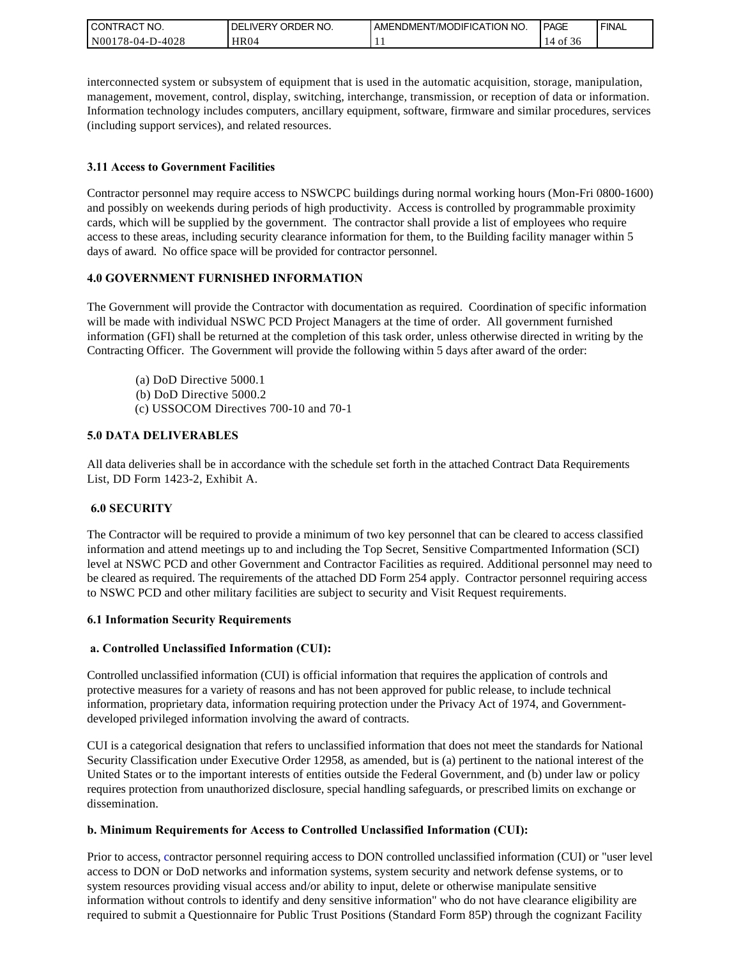| I CONTRACT NO.   | ' ORDER NO.<br><b>DELIVERY</b> | <b>JAMENDMENT/MODIFICATION NO.</b> | <b>PAGE</b>     | ' FINAL |
|------------------|--------------------------------|------------------------------------|-----------------|---------|
| N00178-04-D-4028 | HR <sub>04</sub>               |                                    | 14<br>οt<br>-30 |         |

interconnected system or subsystem of equipment that is used in the automatic acquisition, storage, manipulation, management, movement, control, display, switching, interchange, transmission, or reception of data or information. Information technology includes computers, ancillary equipment, software, firmware and similar procedures, services (including support services), and related resources.

## **3.11 Access to Government Facilities**

Contractor personnel may require access to NSWCPC buildings during normal working hours (Mon-Fri 0800-1600) and possibly on weekends during periods of high productivity. Access is controlled by programmable proximity cards, which will be supplied by the government. The contractor shall provide a list of employees who require access to these areas, including security clearance information for them, to the Building facility manager within 5 days of award. No office space will be provided for contractor personnel.

### **4.0 GOVERNMENT FURNISHED INFORMATION**

The Government will provide the Contractor with documentation as required. Coordination of specific information will be made with individual NSWC PCD Project Managers at the time of order. All government furnished information (GFI) shall be returned at the completion of this task order, unless otherwise directed in writing by the Contracting Officer. The Government will provide the following within 5 days after award of the order:

 (a) DoD Directive 5000.1 (b) DoD Directive 5000.2 (c) USSOCOM Directives 700-10 and 70-1

## **5.0 DATA DELIVERABLES**

All data deliveries shall be in accordance with the schedule set forth in the attached Contract Data Requirements List, DD Form 1423-2, Exhibit A.

### **6.0 SECURITY**

The Contractor will be required to provide a minimum of two key personnel that can be cleared to access classified information and attend meetings up to and including the Top Secret, Sensitive Compartmented Information (SCI) level at NSWC PCD and other Government and Contractor Facilities as required. Additional personnel may need to be cleared as required. The requirements of the attached DD Form 254 apply. Contractor personnel requiring access to NSWC PCD and other military facilities are subject to security and Visit Request requirements.

### **6.1 Information Security Requirements**

### **a. Controlled Unclassified Information (CUI):**

Controlled unclassified information (CUI) is official information that requires the application of controls and protective measures for a variety of reasons and has not been approved for public release, to include technical information, proprietary data, information requiring protection under the Privacy Act of 1974, and Governmentdeveloped privileged information involving the award of contracts.

CUI is a categorical designation that refers to unclassified information that does not meet the standards for National Security Classification under Executive Order 12958, as amended, but is (a) pertinent to the national interest of the United States or to the important interests of entities outside the Federal Government, and (b) under law or policy requires protection from unauthorized disclosure, special handling safeguards, or prescribed limits on exchange or dissemination.

### **b. Minimum Requirements for Access to Controlled Unclassified Information (CUI):**

Prior to access, contractor personnel requiring access to DON controlled unclassified information (CUI) or "user level access to DON or DoD networks and information systems, system security and network defense systems, or to system resources providing visual access and/or ability to input, delete or otherwise manipulate sensitive information without controls to identify and deny sensitive information" who do not have clearance eligibility are required to submit a Questionnaire for Public Trust Positions (Standard Form 85P) through the cognizant Facility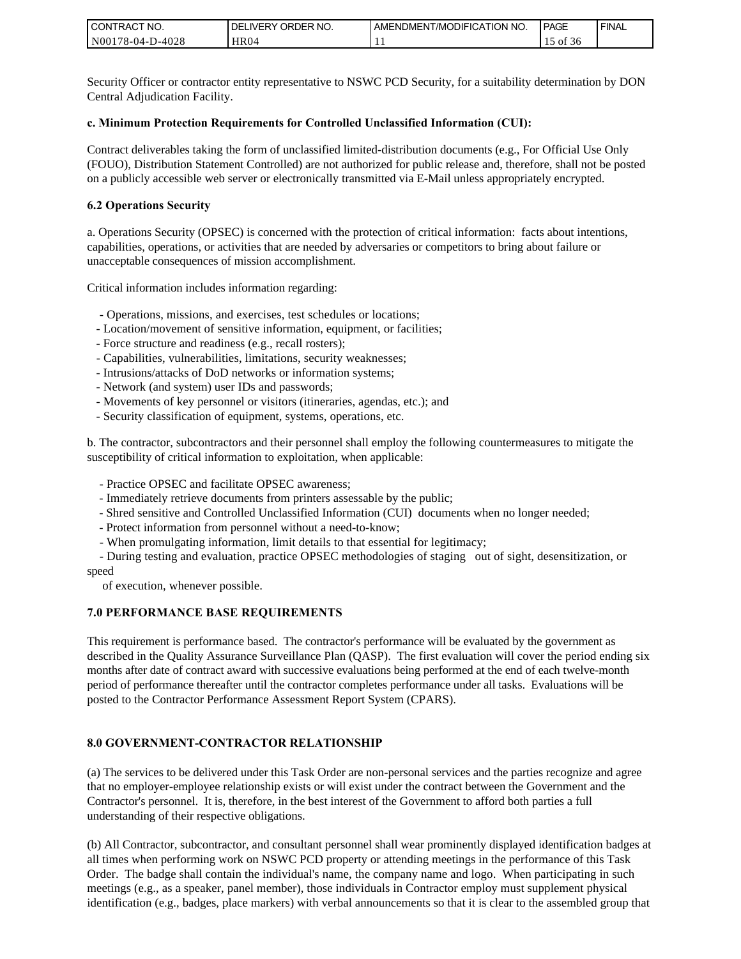| <b>CONTRACT NO.</b> | ' ORDER NO.<br><b>DELIVERY</b> | <b>JAMENDMENT/MODIFICATION NO.</b> | <b>PAGE</b> | ' FINAL |
|---------------------|--------------------------------|------------------------------------|-------------|---------|
| N00178-04-D-4028    | HR <sub>04</sub>               |                                    | of 36       |         |

Security Officer or contractor entity representative to NSWC PCD Security, for a suitability determination by DON Central Adjudication Facility.

#### **c. Minimum Protection Requirements for Controlled Unclassified Information (CUI):**

Contract deliverables taking the form of unclassified limited-distribution documents (e.g., For Official Use Only (FOUO), Distribution Statement Controlled) are not authorized for public release and, therefore, shall not be posted on a publicly accessible web server or electronically transmitted via E-Mail unless appropriately encrypted.

### **6.2 Operations Security**

a. Operations Security (OPSEC) is concerned with the protection of critical information: facts about intentions, capabilities, operations, or activities that are needed by adversaries or competitors to bring about failure or unacceptable consequences of mission accomplishment.

Critical information includes information regarding:

- Operations, missions, and exercises, test schedules or locations;
- Location/movement of sensitive information, equipment, or facilities;
- Force structure and readiness (e.g., recall rosters);
- Capabilities, vulnerabilities, limitations, security weaknesses;
- Intrusions/attacks of DoD networks or information systems;
- Network (and system) user IDs and passwords;
- Movements of key personnel or visitors (itineraries, agendas, etc.); and
- Security classification of equipment, systems, operations, etc.

b. The contractor, subcontractors and their personnel shall employ the following countermeasures to mitigate the susceptibility of critical information to exploitation, when applicable:

- Practice OPSEC and facilitate OPSEC awareness;
- Immediately retrieve documents from printers assessable by the public;
- Shred sensitive and Controlled Unclassified Information (CUI) documents when no longer needed;
- Protect information from personnel without a need-to-know;
- When promulgating information, limit details to that essential for legitimacy;

 - During testing and evaluation, practice OPSEC methodologies of staging out of sight, desensitization, or speed

of execution, whenever possible.

### **7.0 PERFORMANCE BASE REQUIREMENTS**

This requirement is performance based. The contractor's performance will be evaluated by the government as described in the Quality Assurance Surveillance Plan (QASP). The first evaluation will cover the period ending six months after date of contract award with successive evaluations being performed at the end of each twelve-month period of performance thereafter until the contractor completes performance under all tasks. Evaluations will be posted to the Contractor Performance Assessment Report System (CPARS).

### **8.0 GOVERNMENT-CONTRACTOR RELATIONSHIP**

(a) The services to be delivered under this Task Order are non-personal services and the parties recognize and agree that no employer-employee relationship exists or will exist under the contract between the Government and the Contractor's personnel. It is, therefore, in the best interest of the Government to afford both parties a full understanding of their respective obligations.

(b) All Contractor, subcontractor, and consultant personnel shall wear prominently displayed identification badges at all times when performing work on NSWC PCD property or attending meetings in the performance of this Task Order. The badge shall contain the individual's name, the company name and logo. When participating in such meetings (e.g., as a speaker, panel member), those individuals in Contractor employ must supplement physical identification (e.g., badges, place markers) with verbal announcements so that it is clear to the assembled group that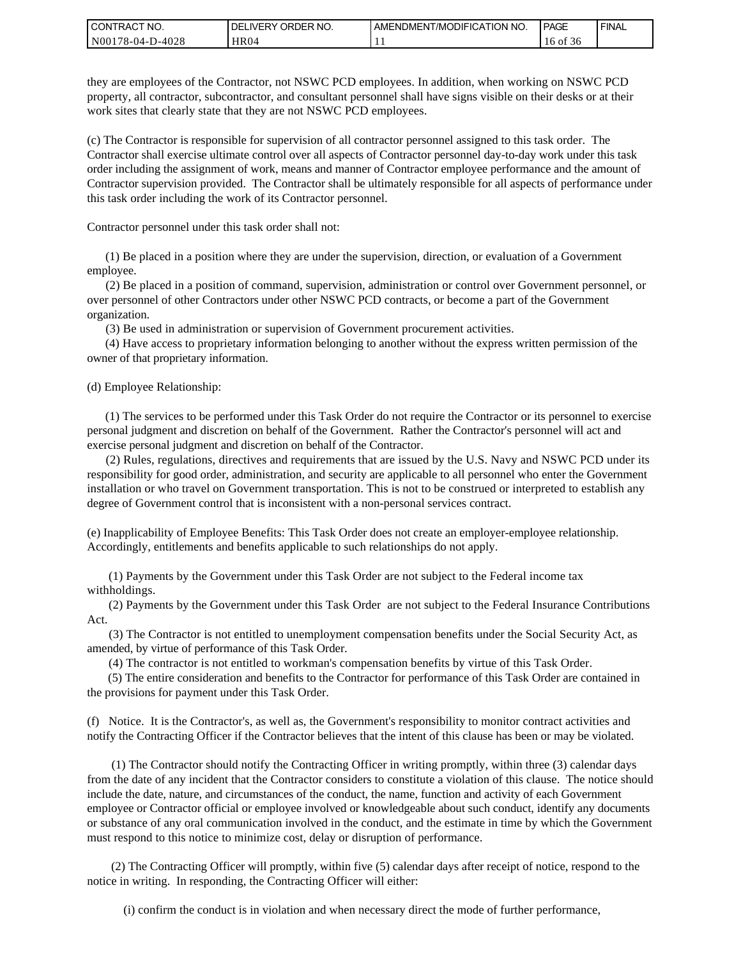| CONTRACT NO.     | ' ORDER NO.<br>DEL<br><b>LIVERY</b> | I AMENDMENT/MODIFICATION NO. | PAGE         | ' FINAL |
|------------------|-------------------------------------|------------------------------|--------------|---------|
| N00178-04-D-4028 | HR <sub>04</sub>                    | . .                          | 16 of<br>-50 |         |

they are employees of the Contractor, not NSWC PCD employees. In addition, when working on NSWC PCD property, all contractor, subcontractor, and consultant personnel shall have signs visible on their desks or at their work sites that clearly state that they are not NSWC PCD employees.

(c) The Contractor is responsible for supervision of all contractor personnel assigned to this task order. The Contractor shall exercise ultimate control over all aspects of Contractor personnel day-to-day work under this task order including the assignment of work, means and manner of Contractor employee performance and the amount of Contractor supervision provided. The Contractor shall be ultimately responsible for all aspects of performance under this task order including the work of its Contractor personnel.

Contractor personnel under this task order shall not:

 (1) Be placed in a position where they are under the supervision, direction, or evaluation of a Government employee.

 (2) Be placed in a position of command, supervision, administration or control over Government personnel, or over personnel of other Contractors under other NSWC PCD contracts, or become a part of the Government organization.

(3) Be used in administration or supervision of Government procurement activities.

 (4) Have access to proprietary information belonging to another without the express written permission of the owner of that proprietary information.

(d) Employee Relationship:

 (1) The services to be performed under this Task Order do not require the Contractor or its personnel to exercise personal judgment and discretion on behalf of the Government. Rather the Contractor's personnel will act and exercise personal judgment and discretion on behalf of the Contractor.

 (2) Rules, regulations, directives and requirements that are issued by the U.S. Navy and NSWC PCD under its responsibility for good order, administration, and security are applicable to all personnel who enter the Government installation or who travel on Government transportation. This is not to be construed or interpreted to establish any degree of Government control that is inconsistent with a non-personal services contract.

(e) Inapplicability of Employee Benefits: This Task Order does not create an employer-employee relationship. Accordingly, entitlements and benefits applicable to such relationships do not apply.

 (1) Payments by the Government under this Task Order are not subject to the Federal income tax withholdings.

 (2) Payments by the Government under this Task Order are not subject to the Federal Insurance Contributions Act.

 (3) The Contractor is not entitled to unemployment compensation benefits under the Social Security Act, as amended, by virtue of performance of this Task Order.

(4) The contractor is not entitled to workman's compensation benefits by virtue of this Task Order.

 (5) The entire consideration and benefits to the Contractor for performance of this Task Order are contained in the provisions for payment under this Task Order.

(f) Notice. It is the Contractor's, as well as, the Government's responsibility to monitor contract activities and notify the Contracting Officer if the Contractor believes that the intent of this clause has been or may be violated.

 (1) The Contractor should notify the Contracting Officer in writing promptly, within three (3) calendar days from the date of any incident that the Contractor considers to constitute a violation of this clause. The notice should include the date, nature, and circumstances of the conduct, the name, function and activity of each Government employee or Contractor official or employee involved or knowledgeable about such conduct, identify any documents or substance of any oral communication involved in the conduct, and the estimate in time by which the Government must respond to this notice to minimize cost, delay or disruption of performance.

 (2) The Contracting Officer will promptly, within five (5) calendar days after receipt of notice, respond to the notice in writing. In responding, the Contracting Officer will either:

(i) confirm the conduct is in violation and when necessary direct the mode of further performance,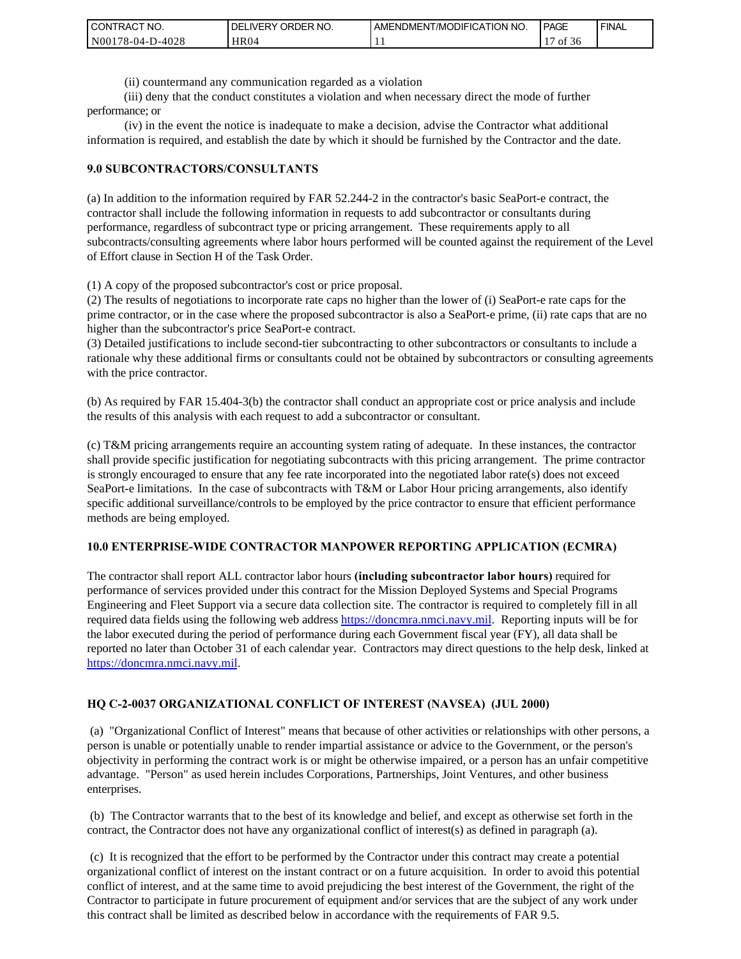| I CONTRACT NO.   | NO.<br>ORDER<br><b>DELIVERY</b> | AMENDMENT/MODIFICATION NO. | <b>PAGE</b>               | ' FINAL |
|------------------|---------------------------------|----------------------------|---------------------------|---------|
| N00178-04-D-4028 | HR04                            | $\mathbf{r}$               | $\sim$ $\sim$<br>ΟĪ<br>36 |         |

(ii) countermand any communication regarded as a violation

 (iii) deny that the conduct constitutes a violation and when necessary direct the mode of further performance; or

 (iv) in the event the notice is inadequate to make a decision, advise the Contractor what additional information is required, and establish the date by which it should be furnished by the Contractor and the date.

### **9.0 SUBCONTRACTORS/CONSULTANTS**

(a) In addition to the information required by FAR 52.244-2 in the contractor's basic SeaPort-e contract, the contractor shall include the following information in requests to add subcontractor or consultants during performance, regardless of subcontract type or pricing arrangement. These requirements apply to all subcontracts/consulting agreements where labor hours performed will be counted against the requirement of the Level of Effort clause in Section H of the Task Order.

(1) A copy of the proposed subcontractor's cost or price proposal.

(2) The results of negotiations to incorporate rate caps no higher than the lower of (i) SeaPort-e rate caps for the prime contractor, or in the case where the proposed subcontractor is also a SeaPort-e prime, (ii) rate caps that are no higher than the subcontractor's price SeaPort-e contract.

(3) Detailed justifications to include second-tier subcontracting to other subcontractors or consultants to include a rationale why these additional firms or consultants could not be obtained by subcontractors or consulting agreements with the price contractor.

(b) As required by FAR 15.404-3(b) the contractor shall conduct an appropriate cost or price analysis and include the results of this analysis with each request to add a subcontractor or consultant.

(c) T&M pricing arrangements require an accounting system rating of adequate. In these instances, the contractor shall provide specific justification for negotiating subcontracts with this pricing arrangement. The prime contractor is strongly encouraged to ensure that any fee rate incorporated into the negotiated labor rate(s) does not exceed SeaPort-e limitations. In the case of subcontracts with T&M or Labor Hour pricing arrangements, also identify specific additional surveillance/controls to be employed by the price contractor to ensure that efficient performance methods are being employed.

### **10.0 ENTERPRISE-WIDE CONTRACTOR MANPOWER REPORTING APPLICATION (ECMRA)**

The contractor shall report ALL contractor labor hours **(including subcontractor labor hours)** required for performance of services provided under this contract for the Mission Deployed Systems and Special Programs Engineering and Fleet Support via a secure data collection site. The contractor is required to completely fill in all required data fields using the following web address [https://doncmra.nmci.navy.mil.](https://doncmra.nmci.navy.mil/) Reporting inputs will be for the labor executed during the period of performance during each Government fiscal year (FY), all data shall be reported no later than October 31 of each calendar year. Contractors may direct questions to the help desk, linked at [https://doncmra.nmci.navy.mil.](https://doncmra.nmci.navy.mil/)

### **HQ C-2-0037 ORGANIZATIONAL CONFLICT OF INTEREST (NAVSEA) (JUL 2000)**

 (a) "Organizational Conflict of Interest" means that because of other activities or relationships with other persons, a person is unable or potentially unable to render impartial assistance or advice to the Government, or the person's objectivity in performing the contract work is or might be otherwise impaired, or a person has an unfair competitive advantage. "Person" as used herein includes Corporations, Partnerships, Joint Ventures, and other business enterprises.

 (b) The Contractor warrants that to the best of its knowledge and belief, and except as otherwise set forth in the contract, the Contractor does not have any organizational conflict of interest(s) as defined in paragraph (a).

 (c) It is recognized that the effort to be performed by the Contractor under this contract may create a potential organizational conflict of interest on the instant contract or on a future acquisition. In order to avoid this potential conflict of interest, and at the same time to avoid prejudicing the best interest of the Government, the right of the Contractor to participate in future procurement of equipment and/or services that are the subject of any work under this contract shall be limited as described below in accordance with the requirements of FAR 9.5.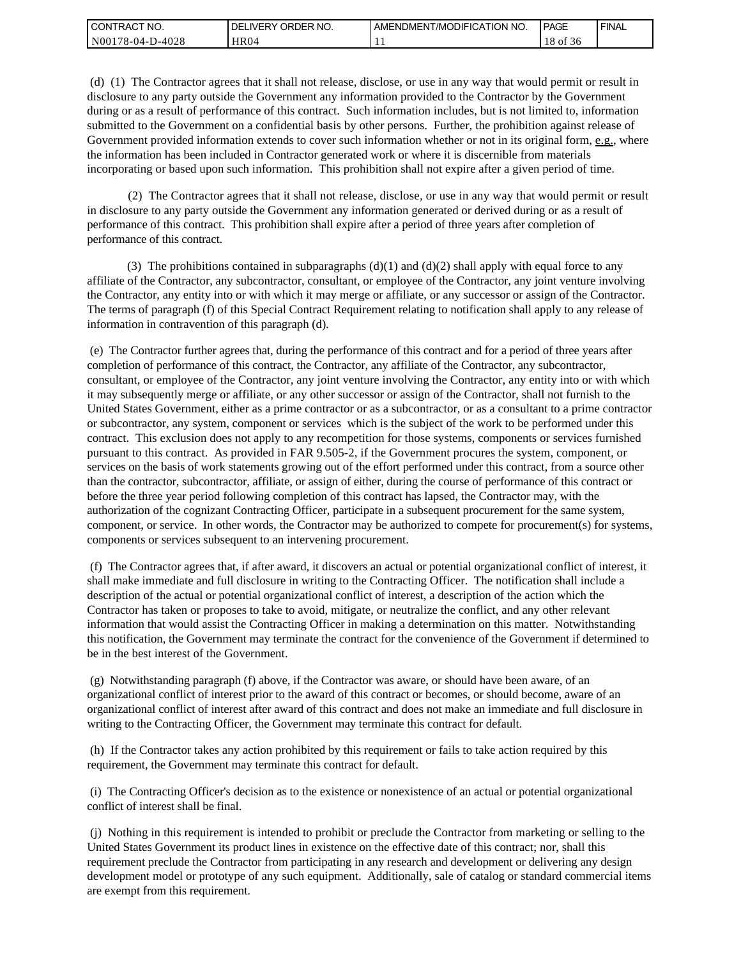| I CONT<br>'TRACT NO. | ' ORDER NO.<br><b>DELIVERY</b> | AMENDMENT/MODIFICATION NO. | <b>PAGE</b>     | ' FINAL |
|----------------------|--------------------------------|----------------------------|-----------------|---------|
| N00178-04-D-4028     | <b>HR04</b>                    | . .                        | 18<br>0Ī<br>-56 |         |

 (d) (1) The Contractor agrees that it shall not release, disclose, or use in any way that would permit or result in disclosure to any party outside the Government any information provided to the Contractor by the Government during or as a result of performance of this contract. Such information includes, but is not limited to, information submitted to the Government on a confidential basis by other persons. Further, the prohibition against release of Government provided information extends to cover such information whether or not in its original form, e.g., where the information has been included in Contractor generated work or where it is discernible from materials incorporating or based upon such information. This prohibition shall not expire after a given period of time.

 (2) The Contractor agrees that it shall not release, disclose, or use in any way that would permit or result in disclosure to any party outside the Government any information generated or derived during or as a result of performance of this contract. This prohibition shall expire after a period of three years after completion of performance of this contract.

(3) The prohibitions contained in subparagraphs  $(d)(1)$  and  $(d)(2)$  shall apply with equal force to any affiliate of the Contractor, any subcontractor, consultant, or employee of the Contractor, any joint venture involving the Contractor, any entity into or with which it may merge or affiliate, or any successor or assign of the Contractor. The terms of paragraph (f) of this Special Contract Requirement relating to notification shall apply to any release of information in contravention of this paragraph (d).

 (e) The Contractor further agrees that, during the performance of this contract and for a period of three years after completion of performance of this contract, the Contractor, any affiliate of the Contractor, any subcontractor, consultant, or employee of the Contractor, any joint venture involving the Contractor, any entity into or with which it may subsequently merge or affiliate, or any other successor or assign of the Contractor, shall not furnish to the United States Government, either as a prime contractor or as a subcontractor, or as a consultant to a prime contractor or subcontractor, any system, component or services which is the subject of the work to be performed under this contract. This exclusion does not apply to any recompetition for those systems, components or services furnished pursuant to this contract. As provided in FAR 9.505-2, if the Government procures the system, component, or services on the basis of work statements growing out of the effort performed under this contract, from a source other than the contractor, subcontractor, affiliate, or assign of either, during the course of performance of this contract or before the three year period following completion of this contract has lapsed, the Contractor may, with the authorization of the cognizant Contracting Officer, participate in a subsequent procurement for the same system, component, or service. In other words, the Contractor may be authorized to compete for procurement(s) for systems, components or services subsequent to an intervening procurement. CONTRACT NO.<br>
N00178-04-D-4028 HRC<br>
(d) (1) The Contractor agrees this<br>
disclosure to any party outside the during or as a result of performan<br>
downmitted to the Government provided information<br>
Government provided informa

 (f) The Contractor agrees that, if after award, it discovers an actual or potential organizational conflict of interest, it shall make immediate and full disclosure in writing to the Contracting Officer. The notification shall include a description of the actual or potential organizational conflict of interest, a description of the action which the Contractor has taken or proposes to take to avoid, mitigate, or neutralize the conflict, and any other relevant information that would assist the Contracting Officer in making a determination on this matter. Notwithstanding this notification, the Government may terminate the contract for the convenience of the Government if determined to be in the best interest of the Government.

 (g) Notwithstanding paragraph (f) above, if the Contractor was aware, or should have been aware, of an organizational conflict of interest prior to the award of this contract or becomes, or should become, aware of an organizational conflict of interest after award of this contract and does not make an immediate and full disclosure in writing to the Contracting Officer, the Government may terminate this contract for default.

 (h) If the Contractor takes any action prohibited by this requirement or fails to take action required by this requirement, the Government may terminate this contract for default.

 (i) The Contracting Officer's decision as to the existence or nonexistence of an actual or potential organizational conflict of interest shall be final.

 (j) Nothing in this requirement is intended to prohibit or preclude the Contractor from marketing or selling to the United States Government its product lines in existence on the effective date of this contract; nor, shall this requirement preclude the Contractor from participating in any research and development or delivering any design development model or prototype of any such equipment. Additionally, sale of catalog or standard commercial items are exempt from this requirement.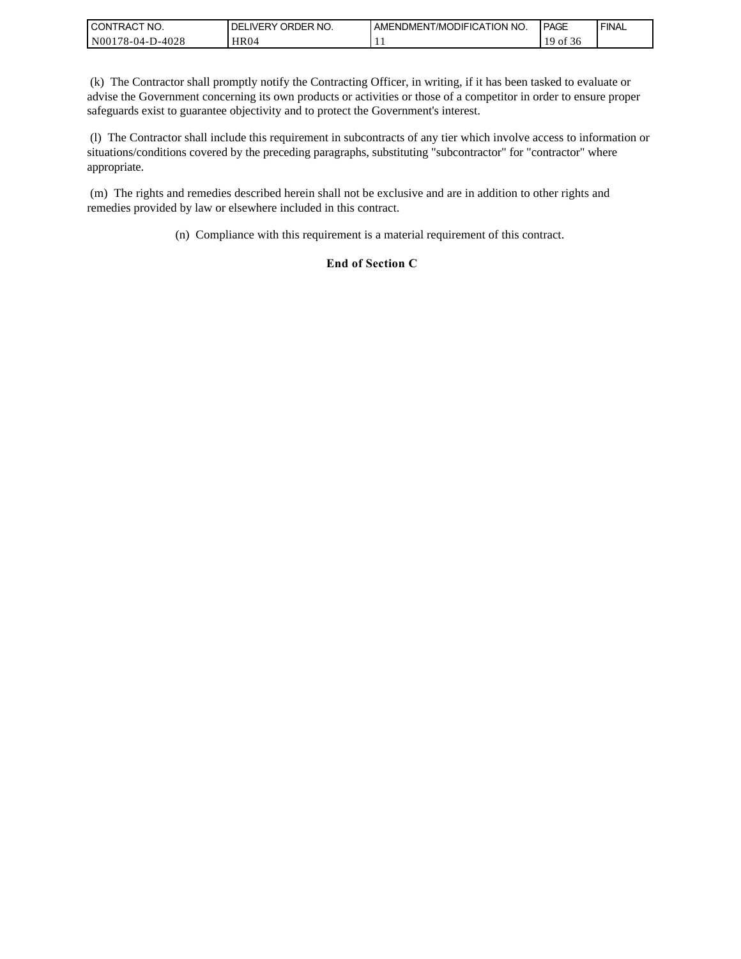| I CONTRACT NO.   | ' ORDER NO.<br><b>DELIVERY</b> | I AMENDMENT/MODIFICATION NO. | PAGE                                 | ' FINAL |
|------------------|--------------------------------|------------------------------|--------------------------------------|---------|
| N00178-04-D-4028 | <b>HR04</b>                    | . .                          | $\sim$ $\sim$ $\sim$<br>10,<br>of 36 |         |

 (k) The Contractor shall promptly notify the Contracting Officer, in writing, if it has been tasked to evaluate or advise the Government concerning its own products or activities or those of a competitor in order to ensure proper safeguards exist to guarantee objectivity and to protect the Government's interest.

 (l) The Contractor shall include this requirement in subcontracts of any tier which involve access to information or situations/conditions covered by the preceding paragraphs, substituting "subcontractor" for "contractor" where appropriate.

 (m) The rights and remedies described herein shall not be exclusive and are in addition to other rights and remedies provided by law or elsewhere included in this contract.

(n) Compliance with this requirement is a material requirement of this contract.

## **End of Section C**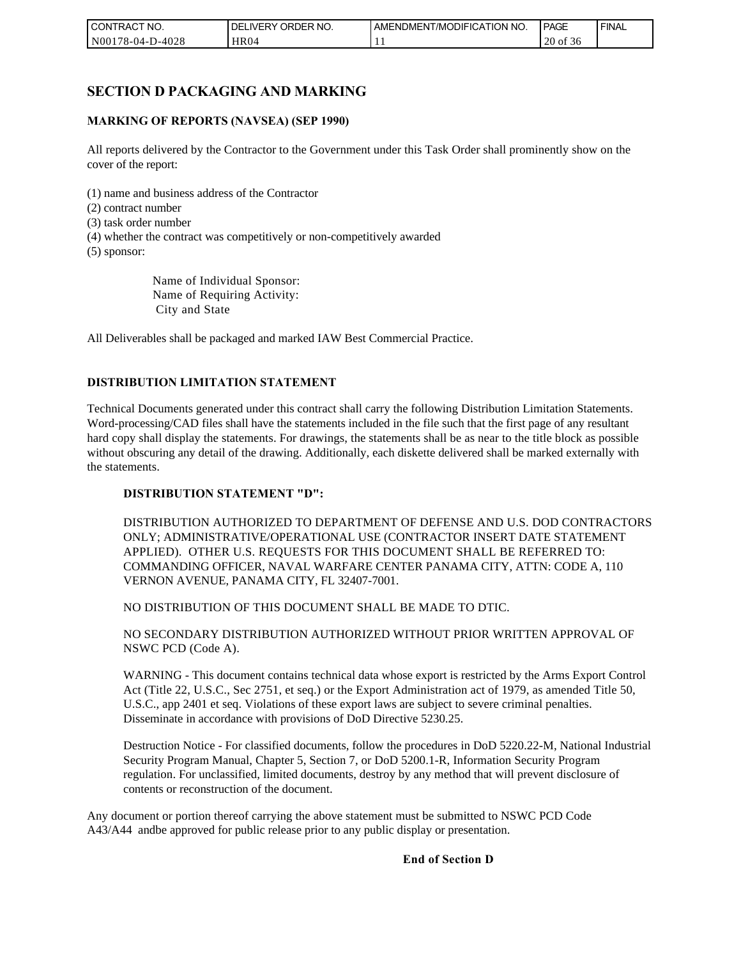| CONTRACT NO.     | ' ORDER NO.<br>DEI<br>LIVERY | AMENDMENT/MODIFICATION NO. | <b>PAGE</b>    | ' FINAL |
|------------------|------------------------------|----------------------------|----------------|---------|
| N00178-04-D-4028 | HR <sub>04</sub>             | . .                        | $20$ of<br>-56 |         |

# **SECTION D PACKAGING AND MARKING**

#### **MARKING OF REPORTS (NAVSEA) (SEP 1990)**

All reports delivered by the Contractor to the Government under this Task Order shall prominently show on the cover of the report:

(1) name and business address of the Contractor

- (2) contract number
- (3) task order number
- (4) whether the contract was competitively or non-competitively awarded
- (5) sponsor:

 Name of Individual Sponsor: Name of Requiring Activity: City and State

All Deliverables shall be packaged and marked IAW Best Commercial Practice.

#### **DISTRIBUTION LIMITATION STATEMENT**

Technical Documents generated under this contract shall carry the following Distribution Limitation Statements. Word-processing/CAD files shall have the statements included in the file such that the first page of any resultant hard copy shall display the statements. For drawings, the statements shall be as near to the title block as possible without obscuring any detail of the drawing. Additionally, each diskette delivered shall be marked externally with the statements.

#### **DISTRIBUTION STATEMENT "D":**

DISTRIBUTION AUTHORIZED TO DEPARTMENT OF DEFENSE AND U.S. DOD CONTRACTORS ONLY; ADMINISTRATIVE/OPERATIONAL USE (CONTRACTOR INSERT DATE STATEMENT APPLIED). OTHER U.S. REQUESTS FOR THIS DOCUMENT SHALL BE REFERRED TO: COMMANDING OFFICER, NAVAL WARFARE CENTER PANAMA CITY, ATTN: CODE A, 110 VERNON AVENUE, PANAMA CITY, FL 32407-7001.

NO DISTRIBUTION OF THIS DOCUMENT SHALL BE MADE TO DTIC.

NO SECONDARY DISTRIBUTION AUTHORIZED WITHOUT PRIOR WRITTEN APPROVAL OF NSWC PCD (Code A).

WARNING - This document contains technical data whose export is restricted by the Arms Export Control Act (Title 22, U.S.C., Sec 2751, et seq.) or the Export Administration act of 1979, as amended Title 50, U.S.C., app 2401 et seq. Violations of these export laws are subject to severe criminal penalties. Disseminate in accordance with provisions of DoD Directive 5230.25.

Destruction Notice - For classified documents, follow the procedures in DoD 5220.22-M, National Industrial Security Program Manual, Chapter 5, Section 7, or DoD 5200.1-R, Information Security Program regulation. For unclassified, limited documents, destroy by any method that will prevent disclosure of contents or reconstruction of the document.

Any document or portion thereof carrying the above statement must be submitted to NSWC PCD Code A43/A44 andbe approved for public release prior to any public display or presentation.

**End of Section D**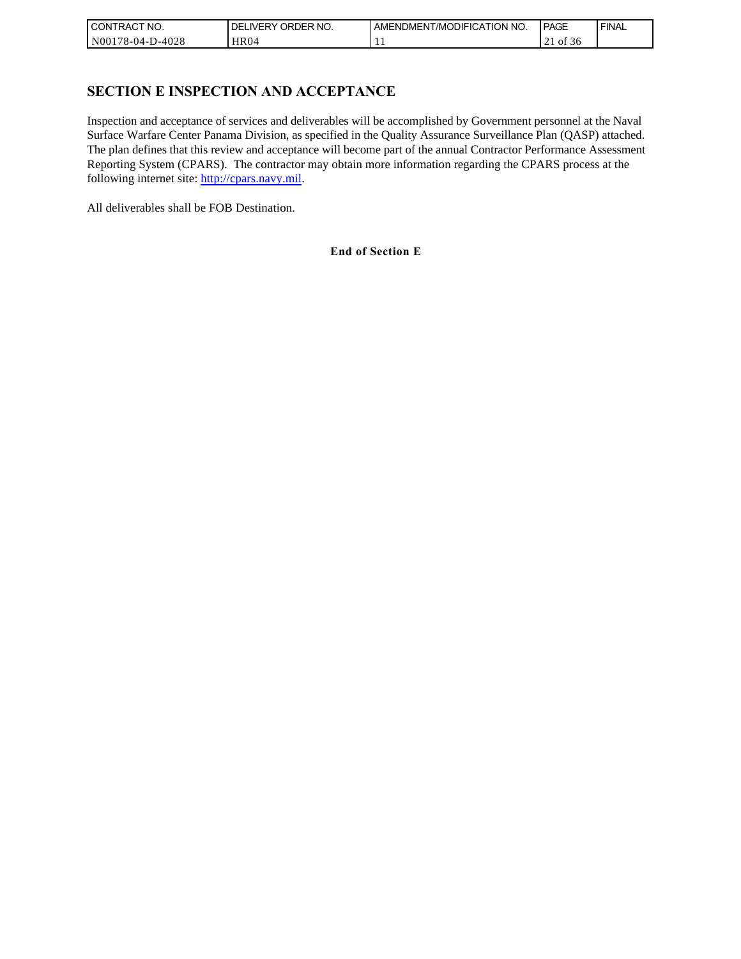| l CON <sup>-</sup><br>'TRACT NO. | ' ORDER NO.<br><b>DELIVERY</b> | AMENDMENT/MODIFICATION NO. | <b>PAGE</b>     | ' FINAL |
|----------------------------------|--------------------------------|----------------------------|-----------------|---------|
| N00178-04-D-4028                 | <b>HR04</b>                    | . .                        | ΟĪ<br>-56<br>∠⊥ |         |

# **SECTION E INSPECTION AND ACCEPTANCE**

Inspection and acceptance of services and deliverables will be accomplished by Government personnel at the Naval Surface Warfare Center Panama Division, as specified in the Quality Assurance Surveillance Plan (QASP) attached. The plan defines that this review and acceptance will become part of the annual Contractor Performance Assessment Reporting System (CPARS). The contractor may obtain more information regarding the CPARS process at the following internet site: [http://cpars.navy.mil.](http://cpars.navy.mil/)

All deliverables shall be FOB Destination.

 **End of Section E**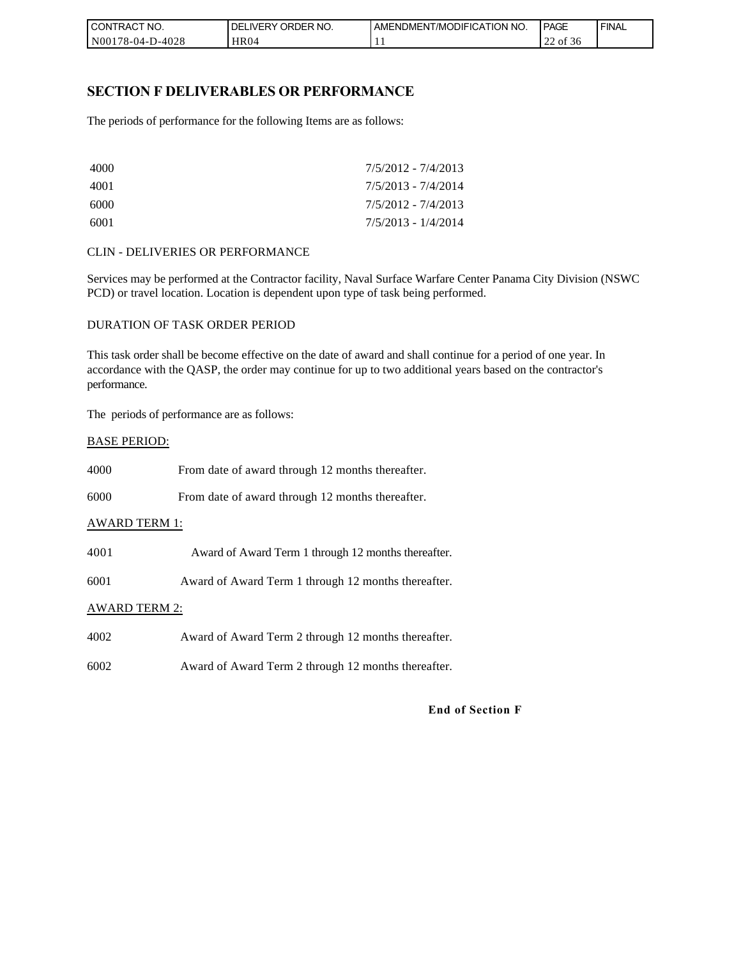| CONTRACT NO.     | NO.<br>ORDER<br><b>DELIVERY</b> | AMENDMENT/MODIFICATION NO. | <b>PAGE</b> | <b>FINAL</b> |
|------------------|---------------------------------|----------------------------|-------------|--------------|
| N00178-04-D-4028 | HR <sub>04</sub>                | . .                        | of 36<br>∸  |              |

## **SECTION F DELIVERABLES OR PERFORMANCE**

The periods of performance for the following Items are as follows:

| 4000 | 7/5/2012 - 7/4/2013   |
|------|-----------------------|
| 4001 | $7/5/2013 - 7/4/2014$ |
| 6000 | 7/5/2012 - 7/4/2013   |
| 6001 | 7/5/2013 - 1/4/2014   |

#### CLIN - DELIVERIES OR PERFORMANCE

Services may be performed at the Contractor facility, Naval Surface Warfare Center Panama City Division (NSWC PCD) or travel location. Location is dependent upon type of task being performed.

#### DURATION OF TASK ORDER PERIOD

This task order shall be become effective on the date of award and shall continue for a period of one year. In accordance with the QASP, the order may continue for up to two additional years based on the contractor's performance.

The periods of performance are as follows:

#### BASE PERIOD:

| 4000 |  |  |  | From date of award through 12 months thereafter. |  |
|------|--|--|--|--------------------------------------------------|--|
|      |  |  |  |                                                  |  |

6000 From date of award through 12 months thereafter.

#### AWARD TERM 1:

4001 Award of Award Term 1 through 12 months thereafter.

6001 Award of Award Term 1 through 12 months thereafter.

### AWARD TERM 2:

- 4002 Award of Award Term 2 through 12 months thereafter.
- 6002 Award of Award Term 2 through 12 months thereafter.

#### **End of Section F**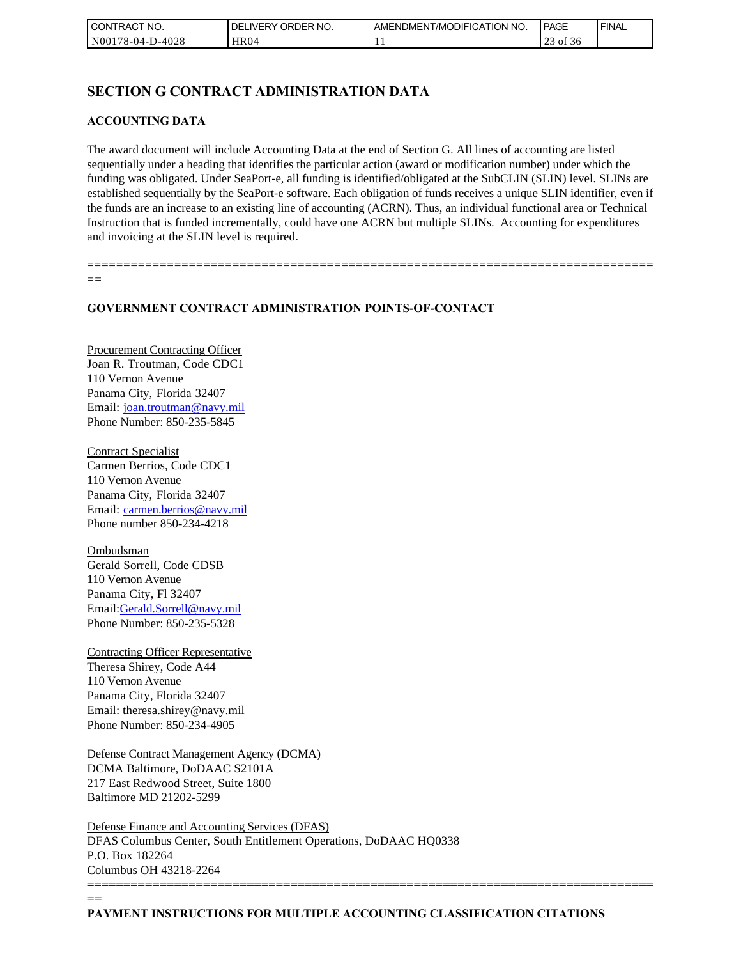| ' CONTRACT NO.   | ' ORDER NO.<br><b>DELIVERY</b> | AMENDMENT/MODIFICATION NO. | PAGE        | <b>FINAL</b> |
|------------------|--------------------------------|----------------------------|-------------|--------------|
| N00178-04-D-4028 | <b>HR04</b>                    |                            | of 36<br>رے |              |

# **SECTION G CONTRACT ADMINISTRATION DATA**

## **ACCOUNTING DATA**

The award document will include Accounting Data at the end of Section G. All lines of accounting are listed sequentially under a heading that identifies the particular action (award or modification number) under which the funding was obligated. Under SeaPort-e, all funding is identified/obligated at the SubCLIN (SLIN) level. SLINs are established sequentially by the SeaPort-e software. Each obligation of funds receives a unique SLIN identifier, even if the funds are an increase to an existing line of accounting (ACRN). Thus, an individual functional area or Technical Instruction that is funded incrementally, could have one ACRN but multiple SLINs. Accounting for expenditures and invoicing at the SLIN level is required.

==============================================================================

 $=$ 

## **GOVERNMENT CONTRACT ADMINISTRATION POINTS-OF-CONTACT**

Procurement Contracting Officer Joan R. Troutman, Code CDC1 110 Vernon Avenue Panama City, Florida 32407 Email: [joan.troutman@navy.mil](mailto:joan.troutman@navy.mil) Phone Number: 850-235-5845

Contract Specialist Carmen Berrios, Code CDC1 110 Vernon Avenue Panama City, Florida 32407 Email: [carmen.berrios@navy.mil](mailto:carmen.berrios@navy.mil) Phone number 850-234-4218

Ombudsman Gerald Sorrell, Code CDSB 110 Vernon Avenue Panama City, Fl 32407 Email[:Gerald.Sorrell@navy.mil](mailto:Gerald.Sorrell@navy.mil) Phone Number: 850-235-5328

Contracting Officer Representative Theresa Shirey, Code A44 110 Vernon Avenue Panama City, Florida 32407 Email: theresa.shirey@navy.mil Phone Number: 850-234-4905

Defense Contract Management Agency (DCMA) DCMA Baltimore, DoDAAC S2101A 217 East Redwood Street, Suite 1800 Baltimore MD 21202-5299

Defense Finance and Accounting Services (DFAS) DFAS Columbus Center, South Entitlement Operations, DoDAAC HQ0338 P.O. Box 182264 Columbus OH 43218-2264

**PAYMENT INSTRUCTIONS FOR MULTIPLE ACCOUNTING CLASSIFICATION CITATIONS**

**==============================================================================**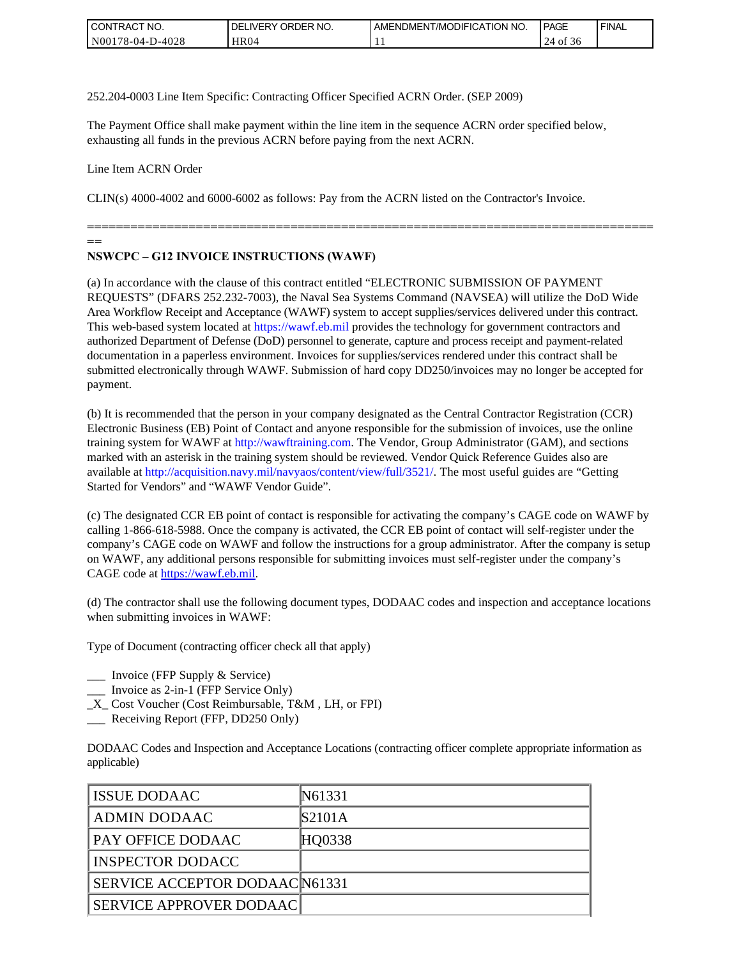| I CONTRACT NO.   | I DELIVERY ORDER NO. | AMENDMENT/MODIFICATION NO. | <b>I PAGE</b>  | ' FINAL |
|------------------|----------------------|----------------------------|----------------|---------|
| N00178-04-D-4028 | HR <sub>04</sub>     | . .                        | $24$ of<br>-56 |         |

252.204-0003 Line Item Specific: Contracting Officer Specified ACRN Order. (SEP 2009)

The Payment Office shall make payment within the line item in the sequence ACRN order specified below, exhausting all funds in the previous ACRN before paying from the next ACRN.

Line Item ACRN Order

CLIN(s) 4000-4002 and 6000-6002 as follows: Pay from the ACRN listed on the Contractor's Invoice.

**==**

## **NSWCPC – G12 INVOICE INSTRUCTIONS (WAWF)**

(a) In accordance with the clause of this contract entitled "ELECTRONIC SUBMISSION OF PAYMENT REQUESTS" (DFARS 252.232-7003), the Naval Sea Systems Command (NAVSEA) will utilize the DoD Wide Area Workflow Receipt and Acceptance (WAWF) system to accept supplies/services delivered under this contract. This web-based system located at https://wawf.eb.mil provides the technology for government contractors and authorized Department of Defense (DoD) personnel to generate, capture and process receipt and payment-related documentation in a paperless environment. Invoices for supplies/services rendered under this contract shall be submitted electronically through WAWF. Submission of hard copy DD250/invoices may no longer be accepted for payment.

**==============================================================================**

(b) It is recommended that the person in your company designated as the Central Contractor Registration (CCR) Electronic Business (EB) Point of Contact and anyone responsible for the submission of invoices, use the online training system for WAWF at http://wawftraining.com. The Vendor, Group Administrator (GAM), and sections marked with an asterisk in the training system should be reviewed. Vendor Quick Reference Guides also are available at http://acquisition.navy.mil/navyaos/content/view/full/3521/. The most useful guides are "Getting Started for Vendors" and "WAWF Vendor Guide".

(c) The designated CCR EB point of contact is responsible for activating the company's CAGE code on WAWF by calling 1-866-618-5988. Once the company is activated, the CCR EB point of contact will self-register under the company's CAGE code on WAWF and follow the instructions for a group administrator. After the company is setup on WAWF, any additional persons responsible for submitting invoices must self-register under the company's CAGE code at [https://wawf.eb.mil.](https://wawf.eb.mil/)

(d) The contractor shall use the following document types, DODAAC codes and inspection and acceptance locations when submitting invoices in WAWF:

Type of Document (contracting officer check all that apply)

- \_\_\_ Invoice (FFP Supply & Service)
- \_\_\_ Invoice as 2-in-1 (FFP Service Only)
- \_X\_ Cost Voucher (Cost Reimbursable, T&M , LH, or FPI)
- \_\_\_ Receiving Report (FFP, DD250 Only)

DODAAC Codes and Inspection and Acceptance Locations (contracting officer complete appropriate information as applicable)

| <b>ISSUE DODAAC</b>             | N61331        |
|---------------------------------|---------------|
| <b>ADMIN DODAAC</b>             | <b>S2101A</b> |
| <b>PAY OFFICE DODAAC</b>        | HQ0338        |
| <b>INSPECTOR DODACC</b>         |               |
| SERVICE ACCEPTOR DODAACN61331   |               |
| <b>SERVICE APPROVER DODAAC </b> |               |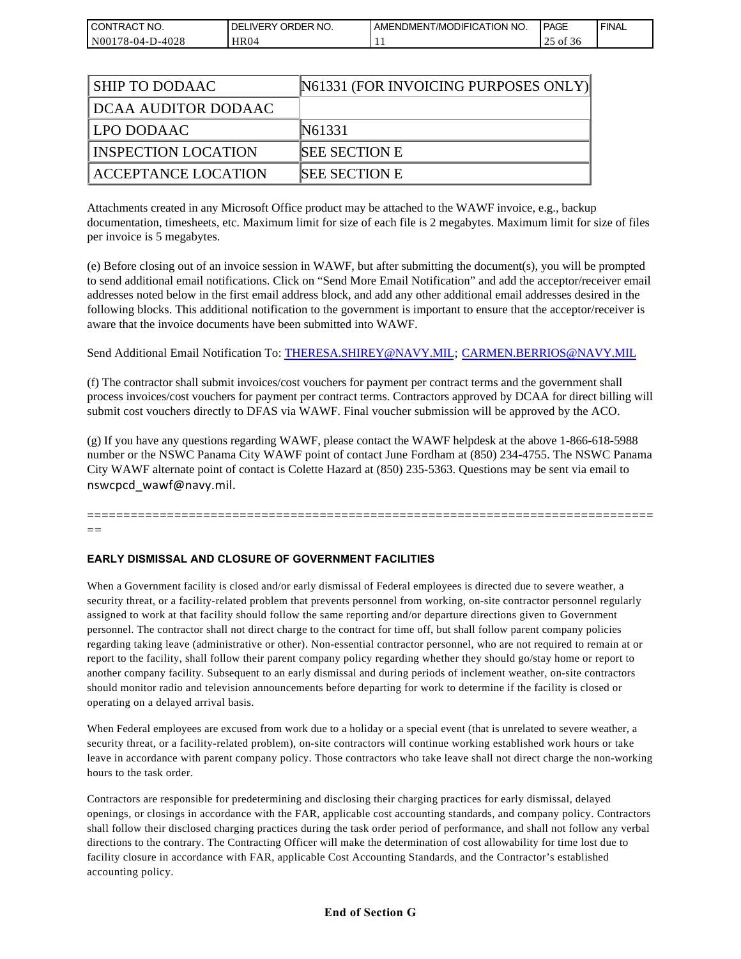| CONTRACT NO.     | NO.<br>' ORDER<br><b>DELIVERY</b> | AMENDMENT/MODIFICATION I<br>NO. | PAGE                   | ' FINAL |
|------------------|-----------------------------------|---------------------------------|------------------------|---------|
| N00178-04-D-4028 | <b>HR04</b>                       |                                 | $\sim$ $\sim$<br>of 36 |         |

| <b>SHIP TO DODAAC</b>      | N61331 (FOR INVOICING PURPOSES ONLY) |
|----------------------------|--------------------------------------|
| DCAA AUDITOR DODAAC        |                                      |
| LPO DODAAC                 | N61331                               |
| <b>INSPECTION LOCATION</b> | <b>SEE SECTION E</b>                 |
| <b>ACCEPTANCE LOCATION</b> | <b>SEE SECTION E</b>                 |

Attachments created in any Microsoft Office product may be attached to the WAWF invoice, e.g., backup documentation, timesheets, etc. Maximum limit for size of each file is 2 megabytes. Maximum limit for size of files per invoice is 5 megabytes.

(e) Before closing out of an invoice session in WAWF, but after submitting the document(s), you will be prompted to send additional email notifications. Click on "Send More Email Notification" and add the acceptor/receiver email addresses noted below in the first email address block, and add any other additional email addresses desired in the following blocks. This additional notification to the government is important to ensure that the acceptor/receiver is aware that the invoice documents have been submitted into WAWF.

Send Additional Email Notification To: [THERESA.SHIREY@NAVY.MIL;](mailto:THERESA.SHIREY@NAVY.MIL) [CARMEN.BERRIOS@NAVY.MIL](mailto:CARMEN.BERRIOS@NAVY.MIL) 

(f) The contractor shall submit invoices/cost vouchers for payment per contract terms and the government shall process invoices/cost vouchers for payment per contract terms. Contractors approved by DCAA for direct billing will submit cost vouchers directly to DFAS via WAWF. Final voucher submission will be approved by the ACO.

(g) If you have any questions regarding WAWF, please contact the WAWF helpdesk at the above 1-866-618-5988 number or the NSWC Panama City WAWF point of contact June Fordham at (850) 234-4755. The NSWC Panama City WAWF alternate point of contact is Colette Hazard at (850) 235-5363. Questions may be sent via email to nswcpcd\_wawf@navy.mil.

==============================================================================

 $=$ 

### **EARLY DISMISSAL AND CLOSURE OF GOVERNMENT FACILITIES**

When a Government facility is closed and/or early dismissal of Federal employees is directed due to severe weather, a security threat, or a facility-related problem that prevents personnel from working, on-site contractor personnel regularly assigned to work at that facility should follow the same reporting and/or departure directions given to Government personnel. The contractor shall not direct charge to the contract for time off, but shall follow parent company policies regarding taking leave (administrative or other). Non-essential contractor personnel, who are not required to remain at or report to the facility, shall follow their parent company policy regarding whether they should go/stay home or report to another company facility. Subsequent to an early dismissal and during periods of inclement weather, on-site contractors should monitor radio and television announcements before departing for work to determine if the facility is closed or operating on a delayed arrival basis.

When Federal employees are excused from work due to a holiday or a special event (that is unrelated to severe weather, a security threat, or a facility-related problem), on-site contractors will continue working established work hours or take leave in accordance with parent company policy. Those contractors who take leave shall not direct charge the non-working hours to the task order.

Contractors are responsible for predetermining and disclosing their charging practices for early dismissal, delayed openings, or closings in accordance with the FAR, applicable cost accounting standards, and company policy. Contractors shall follow their disclosed charging practices during the task order period of performance, and shall not follow any verbal directions to the contrary. The Contracting Officer will make the determination of cost allowability for time lost due to facility closure in accordance with FAR, applicable Cost Accounting Standards, and the Contractor's established accounting policy.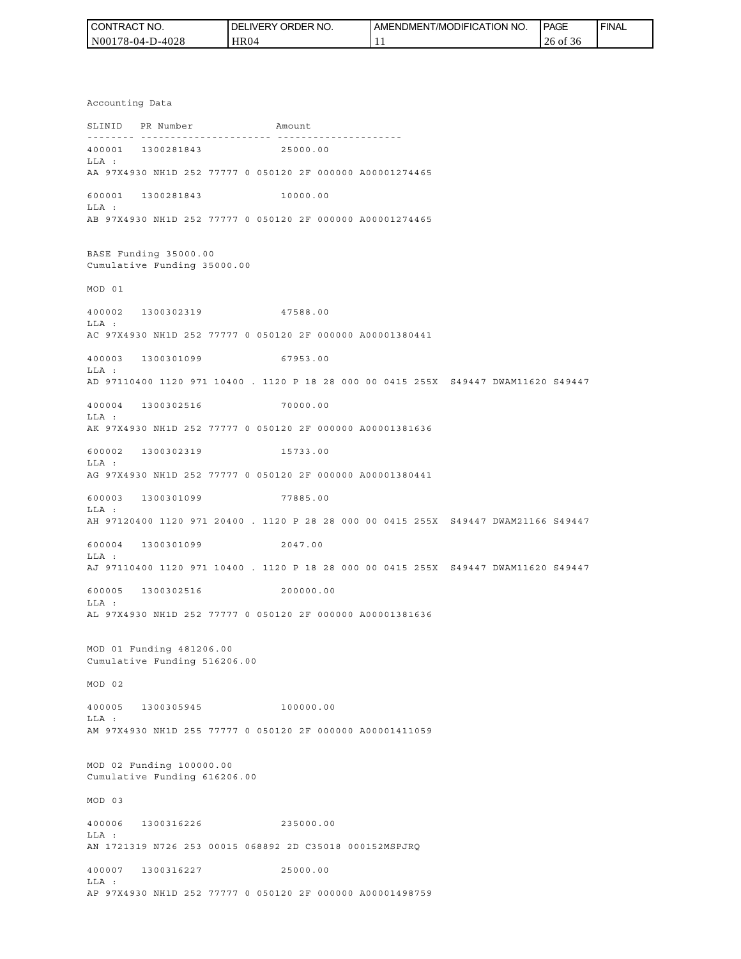| I CONTRACT NO.   | <b>I</b> DELIVERY ORDER NO. | <b>LAMENDMENT/MODIFICATION NO.</b> | <b>PAGE</b> | ' FINAL |
|------------------|-----------------------------|------------------------------------|-------------|---------|
| N00178-04-D-4028 | <b>HR04</b>                 |                                    | 26 of 36    |         |

Accounting Data SLINID PR Number Amount -------- ---------------------- --------------------- 400001 1300281843 25000.00 LLA : AA 97X4930 NH1D 252 77777 0 050120 2F 000000 A00001274465 600001 1300281843 10000.00 LLA : AB 97X4930 NH1D 252 77777 0 050120 2F 000000 A00001274465 BASE Funding 35000.00 Cumulative Funding 35000.00 MOD 01 400002 1300302319 47588.00 LLA : AC 97X4930 NH1D 252 77777 0 050120 2F 000000 A00001380441 400003 1300301099 67953.00 LLA : AD 97110400 1120 971 10400 . 1120 P 18 28 000 00 0415 255X S49447 DWAM11620 S49447 400004 1300302516 70000.00 LLA : AK 97X4930 NH1D 252 77777 0 050120 2F 000000 A00001381636 600002 1300302319 15733.00 LLA : AG 97X4930 NH1D 252 77777 0 050120 2F 000000 A00001380441 600003 1300301099 77885.00 LLA : AH 97120400 1120 971 20400 . 1120 P 28 28 000 00 0415 255X S49447 DWAM21166 S49447 600004 1300301099 2047.00 LLA : AJ 97110400 1120 971 10400 . 1120 P 18 28 000 00 0415 255X S49447 DWAM11620 S49447 600005 1300302516 200000.00 LLA : AL 97X4930 NH1D 252 77777 0 050120 2F 000000 A00001381636 MOD 01 Funding 481206.00 Cumulative Funding 516206.00 MOD 02 400005 1300305945 100000.00 LLA : AM 97X4930 NH1D 255 77777 0 050120 2F 000000 A00001411059 MOD 02 Funding 100000.00 Cumulative Funding 616206.00 MOD 03 400006 1300316226 235000.00 LLA : AN 1721319 N726 253 00015 068892 2D C35018 000152MSPJRQ 400007 1300316227 25000.00 LLA : CONTRACT NO. | DELWERY ORDER NO. | AMENDAMENT.<br>
ARTIST - MARINE 2013<br>
ARTIST - MARINE 2013<br>
ARTIST - MARINE 2013<br>
ARTIST - MARINE 2013<br>
ARTIST - MARINE 252 77777 0 050130 27 000000 A00001274445<br>
ARTIST - MARINE 252 77777 0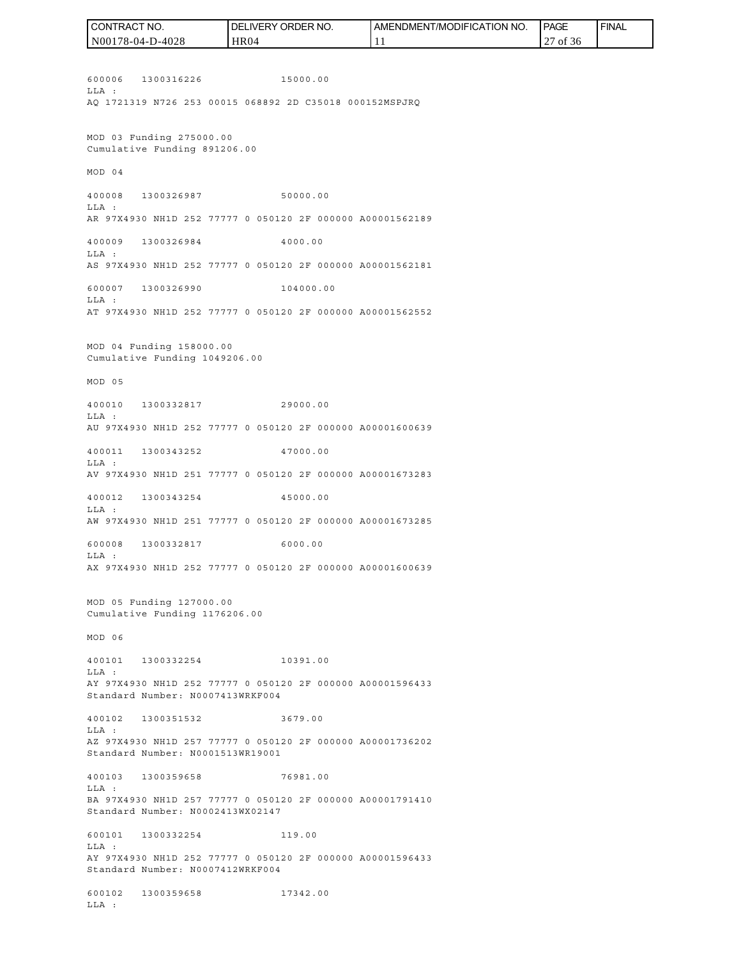600006 1300316226 15000.00  $T.T.A$  : AQ 1721319 N726 253 00015 068892 2D C35018 000152MSPJRQ MOD 03 Funding 275000.00 Cumulative Funding 891206.00 MOD 04 400008 1300326987 50000.00 LLA : AR 97X4930 NH1D 252 77777 0 050120 2F 000000 A00001562189 400009 1300326984 4000.00 LLA : AS 97X4930 NH1D 252 77777 0 050120 2F 000000 A00001562181 600007 1300326990 104000.00 LLA : AT 97X4930 NH1D 252 77777 0 050120 2F 000000 A00001562552 MOD 04 Funding 158000.00 Cumulative Funding 1049206.00 MOD 05 400010 1300332817 29000.00 LLA : AU 97X4930 NH1D 252 77777 0 050120 2F 000000 A00001600639 400011 1300343252 47000.00 LLA : AV 97X4930 NH1D 251 77777 0 050120 2F 000000 A00001673283 400012 1300343254 45000.00 LLA : AW 97X4930 NH1D 251 77777 0 050120 2F 000000 A00001673285 600008 1300332817 6000.00 LLA : AX 97X4930 NH1D 252 77777 0 050120 2F 000000 A00001600639 MOD 05 Funding 127000.00 Cumulative Funding 1176206.00 MOD 06 400101 1300332254 10391.00 LLA : AY 97X4930 NH1D 252 77777 0 050120 2F 000000 A00001596433 Standard Number: N0007413WRKF004 400102 1300351532 3679.00  $T.T.A$  : AZ 97X4930 NH1D 257 77777 0 050120 2F 000000 A00001736202 Standard Number: N0001513WR19001 400103 1300359658 76981.00 LLA : BA 97X4930 NH1D 257 77777 0 050120 2F 000000 A00001791410 Standard Number: N0002413WX02147 600101 1300332254 119.00 LLA : AY 97X4930 NH1D 252 77777 0 050120 2F 000000 A00001596433 Standard Number: N0007412WRKF004 600102 1300359658 17342.00 LLA : CONTRACT NO. N00178-04-D-4028 DELIVERY ORDER NO. HR04 AMENDMENT/MODIFICATION NO. 11 **IPAGE**  27 of 36 FINAL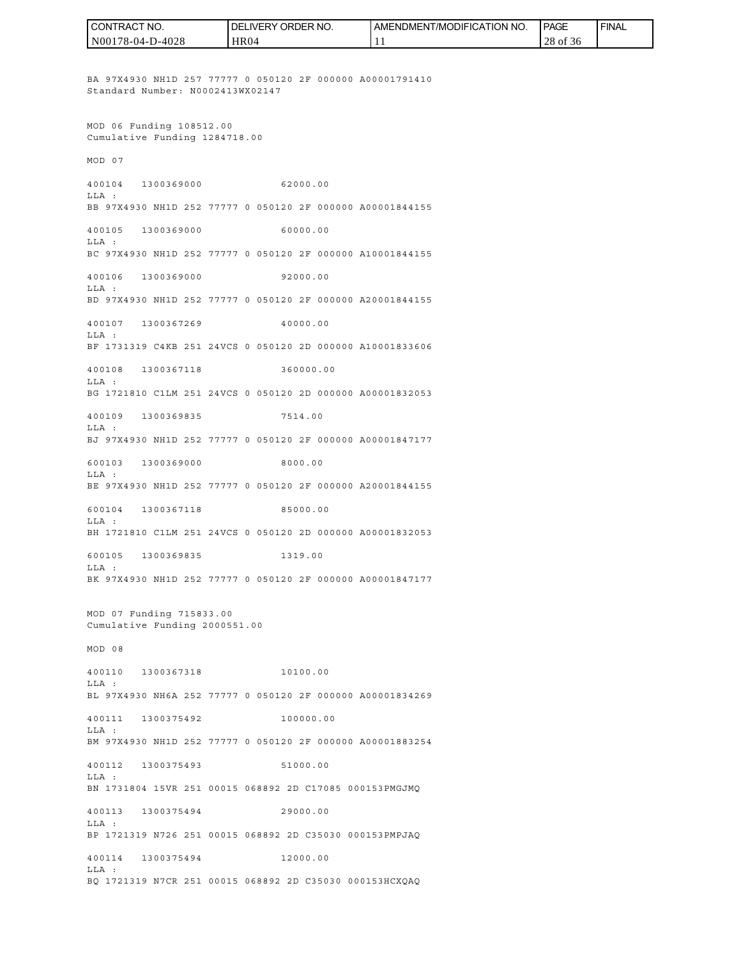BA 97X4930 NH1D 257 77777 0 050120 2F 000000 A00001791410 Standard Number: N0002413WX02147 MOD 06 Funding 108512.00 Cumulative Funding 1284718.00 MOD 07 400104 1300369000 62000.00 LLA : BB 97X4930 NH1D 252 77777 0 050120 2F 000000 A00001844155 400105 1300369000 60000.00 LLA : BC 97X4930 NH1D 252 77777 0 050120 2F 000000 A10001844155 400106 1300369000 92000.00 LLA : BD 97X4930 NH1D 252 77777 0 050120 2F 000000 A20001844155 400107 1300367269 40000.00 LLA : BF 1731319 C4KB 251 24VCS 0 050120 2D 000000 A10001833606 400108 1300367118 360000.00 LLA : BG 1721810 C1LM 251 24VCS 0 050120 2D 000000 A00001832053 400109 1300369835 7514.00 LLA : BJ 97X4930 NH1D 252 77777 0 050120 2F 000000 A00001847177 600103 1300369000 8000.00 LLA : BE 97X4930 NH1D 252 77777 0 050120 2F 000000 A20001844155 600104 1300367118 85000.00 LLA : BH 1721810 C1LM 251 24VCS 0 050120 2D 000000 A00001832053 600105 1300369835 1319.00  $T.T.A$  : BK 97X4930 NH1D 252 77777 0 050120 2F 000000 A00001847177 MOD 07 Funding 715833.00 Cumulative Funding 2000551.00 MOD 08 400110 1300367318 10100.00 LLA : BL 97X4930 NH6A 252 77777 0 050120 2F 000000 A00001834269 400111 1300375492 100000.00  $T.T.A$  : BM 97X4930 NH1D 252 77777 0 050120 2F 000000 A00001883254 400112 1300375493 51000.00 LLA : BN 1731804 15VR 251 00015 068892 2D C17085 000153PMGJMQ 400113 1300375494 29000.00 LLA : BP 1721319 N726 251 00015 068892 2D C35030 000153PMPJAQ 400114 1300375494 12000.00 LLA : CONTRACT NO. MARKINGTRA (MDURRY ORDER NO. MARKINGTRA<br>
IN 19736130 NTT 251 77777 & 058700 2P 000200 A0020173141<br>
NA 97X4510 NTT 251 77777 & 058700 2P 006800 A0020173141<br>
MA 97X4510 NTT 253 77777 & 058700 2P 006800 A00201841 N00178-04-D-4028 DELIVERY ORDER NO. HR04 AMENDMENT/MODIFICATION NO. 11 **IPAGE**  28 of 36 FINAL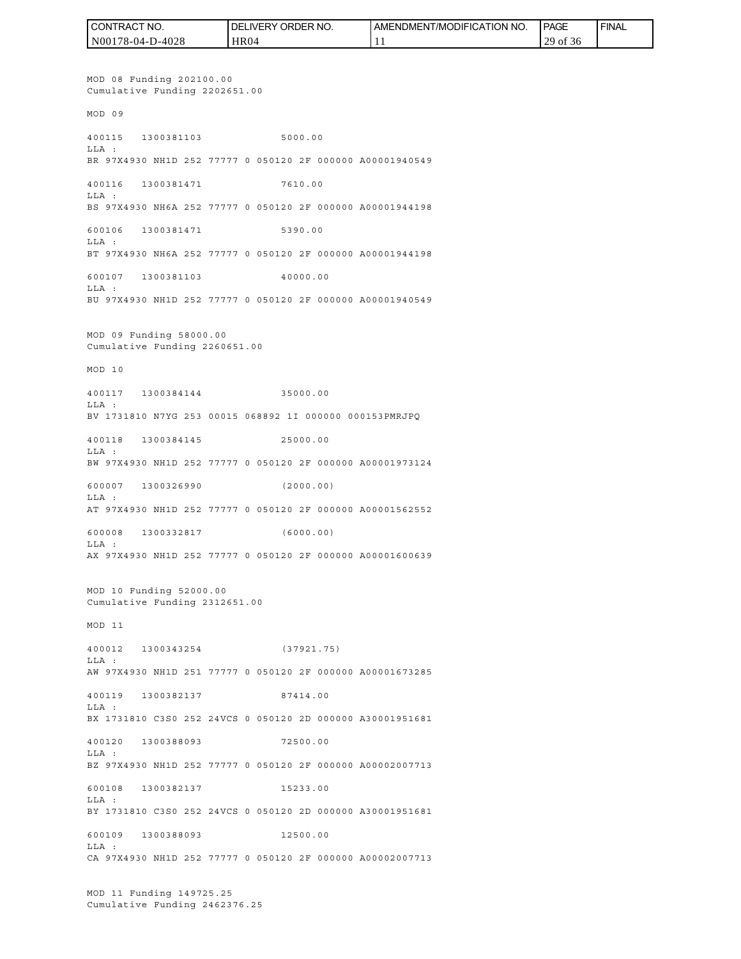| CONTRACT NO.     | ' ORDER NO.<br><b>DELIVERY</b> | AMENDMENT/MODIFICATION<br>NO. | <b>I PAGE</b>            | <b>FINAL</b> |
|------------------|--------------------------------|-------------------------------|--------------------------|--------------|
| N00178-04-D-4028 | HR <sub>04</sub>               | . .                           | $29 \text{ of}$ .<br>-56 |              |

MOD 08 Funding 202100.00 Cumulative Funding 2202651.00 MOD 09 400115 1300381103 5000.00 LLA : BR 97X4930 NH1D 252 77777 0 050120 2F 000000 A00001940549 400116 1300381471 7610.00 LLA : BS 97X4930 NH6A 252 77777 0 050120 2F 000000 A00001944198 600106 1300381471 5390.00 LLA : BT 97X4930 NH6A 252 77777 0 050120 2F 000000 A00001944198 600107 1300381103 40000.00 LLA : BU 97X4930 NH1D 252 77777 0 050120 2F 000000 A00001940549 MOD 09 Funding 58000.00 Cumulative Funding 2260651.00 MOD 10 400117 1300384144 35000.00 LLA : BV 1731810 N7YG 253 00015 068892 1I 000000 000153PMRJPQ 400118 1300384145 25000.00 LLA : BW 97X4930 NH1D 252 77777 0 050120 2F 000000 A00001973124 600007 1300326990 (2000.00) LLA : AT 97X4930 NH1D 252 77777 0 050120 2F 000000 A00001562552 600008 1300332817 (6000.00) LLA : AX 97X4930 NH1D 252 77777 0 050120 2F 000000 A00001600639 MOD 10 Funding 52000.00 Cumulative Funding 2312651.00 MOD 11 400012 1300343254 (37921.75) LLA : AW 97X4930 NH1D 251 77777 0 050120 2F 000000 A00001673285 400119 1300382137 87414.00 LLA : BX 1731810 C3S0 252 24VCS 0 050120 2D 000000 A30001951681 400120 1300388093 72500.00 LLA : BZ 97X4930 NH1D 252 77777 0 050120 2F 000000 A00002007713 600108 1300382137 15233.00 LLA : BY 1731810 C3S0 252 24VCS 0 050120 2D 000000 A30001951681 600109 1300388093 12500.00 LLA : CA 97X4930 NH1D 252 77777 0 050120 2F 000000 A00002007713

MOD 11 Funding 149725.25 Cumulative Funding 2462376.25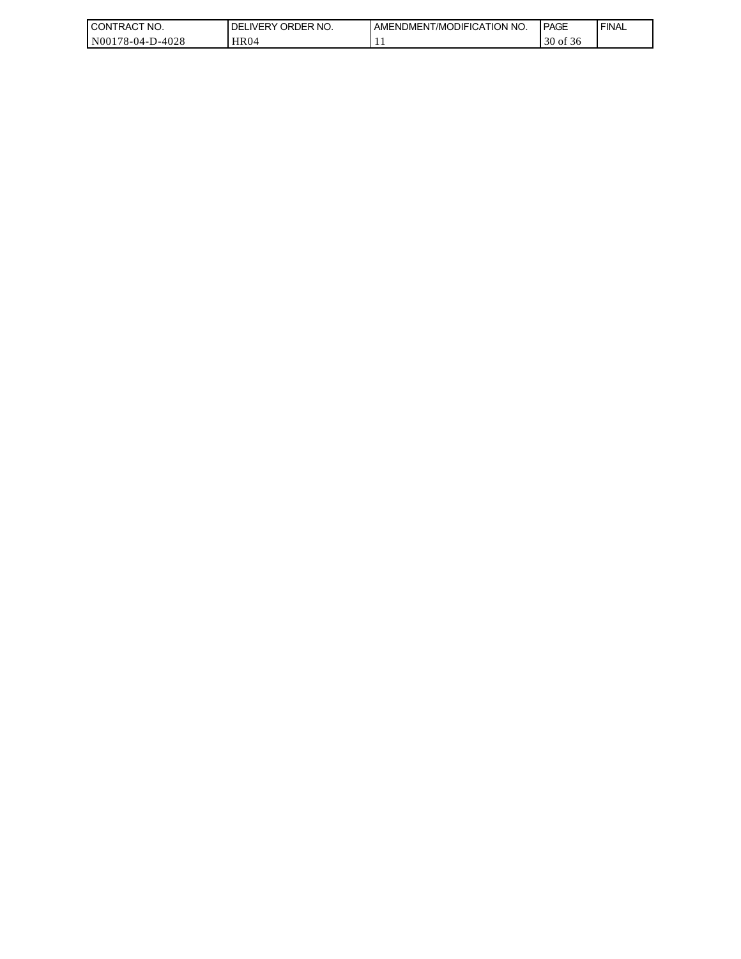| CONTRACT<br>'NO. | ORDER NO.<br><b>DELIVERY</b> | AMENDMENT/MODIFICATION NO. | <b>PAGE</b> | ' FINAL |
|------------------|------------------------------|----------------------------|-------------|---------|
| N00178-04-D-4028 | <b>HR04</b>                  |                            | 30 of<br>30 |         |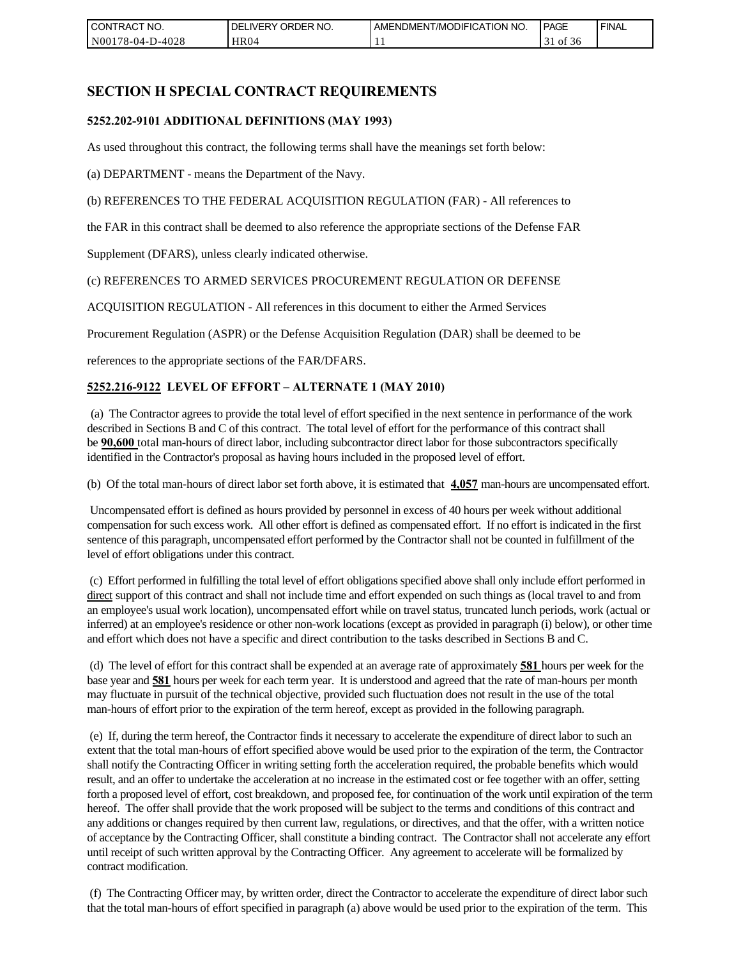| I CONTRACT NO.   | ' ORDER NO.<br><b>DELIVERY</b> | AMENDMENT/MODIFICATION NO. | <b>PAGE</b> | ' FINAL |
|------------------|--------------------------------|----------------------------|-------------|---------|
| N00178-04-D-4028 | <b>HR04</b>                    | . .                        | ΟĪ<br>-56   |         |

# **SECTION H SPECIAL CONTRACT REQUIREMENTS**

### **5252.202-9101 ADDITIONAL DEFINITIONS (MAY 1993)**

As used throughout this contract, the following terms shall have the meanings set forth below:

(a) DEPARTMENT - means the Department of the Navy.

(b) REFERENCES TO THE FEDERAL ACQUISITION REGULATION (FAR) - All references to

the FAR in this contract shall be deemed to also reference the appropriate sections of the Defense FAR

Supplement (DFARS), unless clearly indicated otherwise.

(c) REFERENCES TO ARMED SERVICES PROCUREMENT REGULATION OR DEFENSE

ACQUISITION REGULATION - All references in this document to either the Armed Services

Procurement Regulation (ASPR) or the Defense Acquisition Regulation (DAR) shall be deemed to be

references to the appropriate sections of the FAR/DFARS.

### **5252.216-9122 LEVEL OF EFFORT – ALTERNATE 1 (MAY 2010)**

 (a) The Contractor agrees to provide the total level of effort specified in the next sentence in performance of the work described in Sections B and C of this contract. The total level of effort for the performance of this contract shall be **90,600** total man-hours of direct labor, including subcontractor direct labor for those subcontractors specifically identified in the Contractor's proposal as having hours included in the proposed level of effort.

(b) Of the total man-hours of direct labor set forth above, it is estimated that **4,057** man-hours are uncompensated effort.

 Uncompensated effort is defined as hours provided by personnel in excess of 40 hours per week without additional compensation for such excess work. All other effort is defined as compensated effort. If no effort is indicated in the first sentence of this paragraph, uncompensated effort performed by the Contractor shall not be counted in fulfillment of the level of effort obligations under this contract.

 (c) Effort performed in fulfilling the total level of effort obligations specified above shall only include effort performed in direct support of this contract and shall not include time and effort expended on such things as (local travel to and from an employee's usual work location), uncompensated effort while on travel status, truncated lunch periods, work (actual or inferred) at an employee's residence or other non-work locations (except as provided in paragraph (i) below), or other time and effort which does not have a specific and direct contribution to the tasks described in Sections B and C.

 (d) The level of effort for this contract shall be expended at an average rate of approximately **581** hours per week for the base year and **581** hours per week for each term year. It is understood and agreed that the rate of man-hours per month may fluctuate in pursuit of the technical objective, provided such fluctuation does not result in the use of the total man-hours of effort prior to the expiration of the term hereof, except as provided in the following paragraph.

 (e) If, during the term hereof, the Contractor finds it necessary to accelerate the expenditure of direct labor to such an extent that the total man-hours of effort specified above would be used prior to the expiration of the term, the Contractor shall notify the Contracting Officer in writing setting forth the acceleration required, the probable benefits which would result, and an offer to undertake the acceleration at no increase in the estimated cost or fee together with an offer, setting forth a proposed level of effort, cost breakdown, and proposed fee, for continuation of the work until expiration of the term hereof. The offer shall provide that the work proposed will be subject to the terms and conditions of this contract and any additions or changes required by then current law, regulations, or directives, and that the offer, with a written notice of acceptance by the Contracting Officer, shall constitute a binding contract. The Contractor shall not accelerate any effort until receipt of such written approval by the Contracting Officer. Any agreement to accelerate will be formalized by contract modification.

 (f) The Contracting Officer may, by written order, direct the Contractor to accelerate the expenditure of direct labor such that the total man-hours of effort specified in paragraph (a) above would be used prior to the expiration of the term. This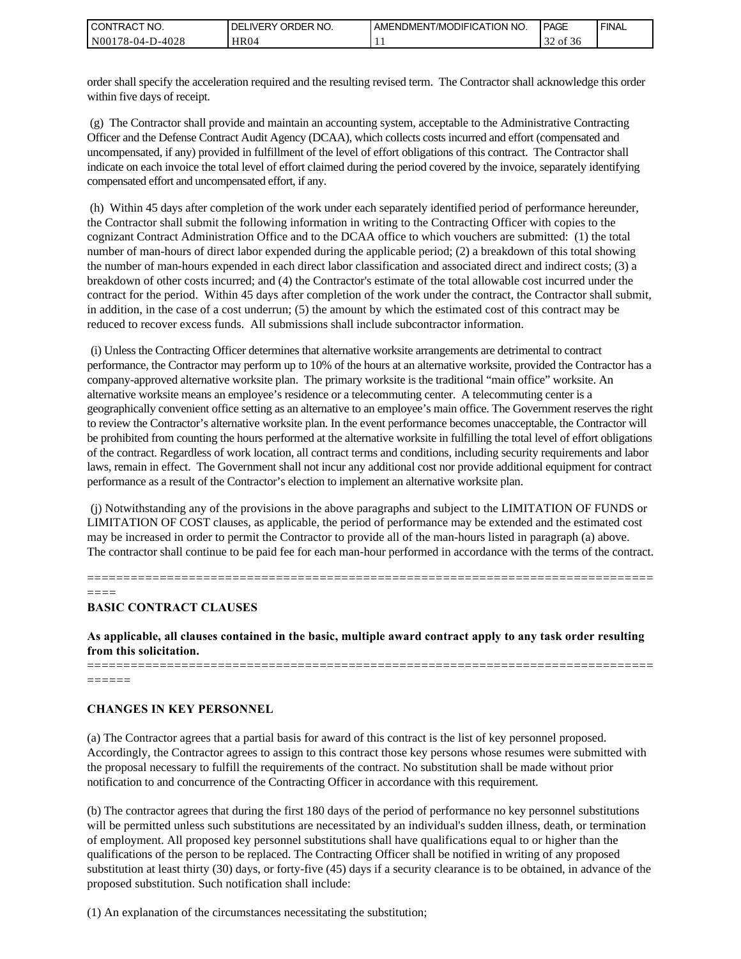| I CONTRACT NO.   | NO.<br>' ORDER<br><b>DELIVERY</b> | AMENDMENT/MODIFICATION NO. | <b>PAGE</b>   | <b>I FINAL</b> |
|------------------|-----------------------------------|----------------------------|---------------|----------------|
| N00178-04-D-4028 | HR04                              | . .                        | ີ<br>32 of 36 |                |

order shall specify the acceleration required and the resulting revised term. The Contractor shall acknowledge this order within five days of receipt.

 (g) The Contractor shall provide and maintain an accounting system, acceptable to the Administrative Contracting Officer and the Defense Contract Audit Agency (DCAA), which collects costs incurred and effort (compensated and uncompensated, if any) provided in fulfillment of the level of effort obligations of this contract. The Contractor shall indicate on each invoice the total level of effort claimed during the period covered by the invoice, separately identifying compensated effort and uncompensated effort, if any.

 (h) Within 45 days after completion of the work under each separately identified period of performance hereunder, the Contractor shall submit the following information in writing to the Contracting Officer with copies to the cognizant Contract Administration Office and to the DCAA office to which vouchers are submitted: (1) the total number of man-hours of direct labor expended during the applicable period; (2) a breakdown of this total showing the number of man-hours expended in each direct labor classification and associated direct and indirect costs; (3) a breakdown of other costs incurred; and (4) the Contractor's estimate of the total allowable cost incurred under the contract for the period. Within 45 days after completion of the work under the contract, the Contractor shall submit, in addition, in the case of a cost underrun; (5) the amount by which the estimated cost of this contract may be reduced to recover excess funds. All submissions shall include subcontractor information.

 (i) Unless the Contracting Officer determines that alternative worksite arrangements are detrimental to contract performance, the Contractor may perform up to 10% of the hours at an alternative worksite, provided the Contractor has a company-approved alternative worksite plan. The primary worksite is the traditional "main office" worksite. An alternative worksite means an employee's residence or a telecommuting center. A telecommuting center is a geographically convenient office setting as an alternative to an employee's main office. The Government reserves the right to review the Contractor's alternative worksite plan. In the event performance becomes unacceptable, the Contractor will be prohibited from counting the hours performed at the alternative worksite in fulfilling the total level of effort obligations of the contract. Regardless of work location, all contract terms and conditions, including security requirements and labor laws, remain in effect. The Government shall not incur any additional cost nor provide additional equipment for contract performance as a result of the Contractor's election to implement an alternative worksite plan.

(j) Notwithstanding any of the provisions in the above paragraphs and subject to the LIMITATION OF FUNDS or LIMITATION OF COST clauses, as applicable, the period of performance may be extended and the estimated cost may be increased in order to permit the Contractor to provide all of the man-hours listed in paragraph (a) above. The contractor shall continue to be paid fee for each man-hour performed in accordance with the terms of the contract.

==============================================================================

#### ====

### **BASIC CONTRACT CLAUSES**

**As applicable, all clauses contained in the basic, multiple award contract apply to any task order resulting from this solicitation.**

==============================================================================

======

### **CHANGES IN KEY PERSONNEL**

(a) The Contractor agrees that a partial basis for award of this contract is the list of key personnel proposed. Accordingly, the Contractor agrees to assign to this contract those key persons whose resumes were submitted with the proposal necessary to fulfill the requirements of the contract. No substitution shall be made without prior notification to and concurrence of the Contracting Officer in accordance with this requirement.

(b) The contractor agrees that during the first 180 days of the period of performance no key personnel substitutions will be permitted unless such substitutions are necessitated by an individual's sudden illness, death, or termination of employment. All proposed key personnel substitutions shall have qualifications equal to or higher than the qualifications of the person to be replaced. The Contracting Officer shall be notified in writing of any proposed substitution at least thirty (30) days, or forty-five (45) days if a security clearance is to be obtained, in advance of the proposed substitution. Such notification shall include:

(1) An explanation of the circumstances necessitating the substitution;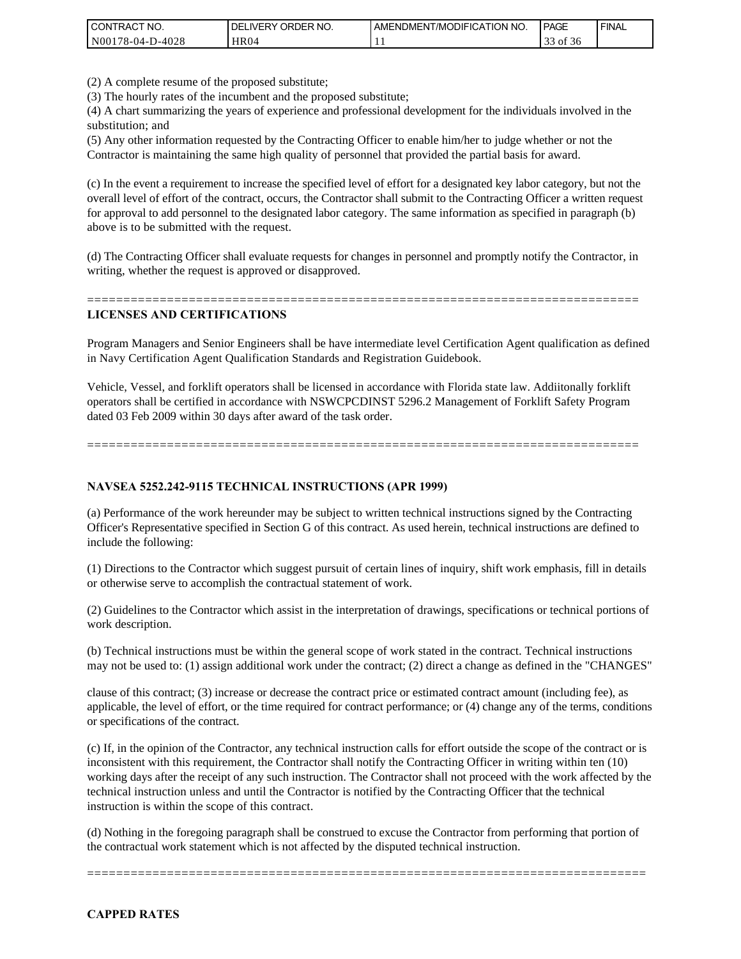| I CONTRACT NO.   | DELIVERY ORDER NO. | AMENDMENT/MODIFICATION NO. | <b>PAGE</b>      | <b>FINAL</b> |
|------------------|--------------------|----------------------------|------------------|--------------|
| N00178-04-D-4028 | <b>HR04</b>        |                            | of<br>-56<br>JJ. |              |

(2) A complete resume of the proposed substitute;

(3) The hourly rates of the incumbent and the proposed substitute;

(4) A chart summarizing the years of experience and professional development for the individuals involved in the substitution; and

(5) Any other information requested by the Contracting Officer to enable him/her to judge whether or not the Contractor is maintaining the same high quality of personnel that provided the partial basis for award.

(c) In the event a requirement to increase the specified level of effort for a designated key labor category, but not the overall level of effort of the contract, occurs, the Contractor shall submit to the Contracting Officer a written request for approval to add personnel to the designated labor category. The same information as specified in paragraph (b) above is to be submitted with the request.

(d) The Contracting Officer shall evaluate requests for changes in personnel and promptly notify the Contractor, in writing, whether the request is approved or disapproved.

============================================================================

#### **LICENSES AND CERTIFICATIONS**

Program Managers and Senior Engineers shall be have intermediate level Certification Agent qualification as defined in Navy Certification Agent Qualification Standards and Registration Guidebook.

Vehicle, Vessel, and forklift operators shall be licensed in accordance with Florida state law. Addiitonally forklift operators shall be certified in accordance with NSWCPCDINST 5296.2 Management of Forklift Safety Program dated 03 Feb 2009 within 30 days after award of the task order.

============================================================================

#### **NAVSEA 5252.242-9115 TECHNICAL INSTRUCTIONS (APR 1999)**

(a) Performance of the work hereunder may be subject to written technical instructions signed by the Contracting Officer's Representative specified in Section G of this contract. As used herein, technical instructions are defined to include the following:

(1) Directions to the Contractor which suggest pursuit of certain lines of inquiry, shift work emphasis, fill in details or otherwise serve to accomplish the contractual statement of work.

(2) Guidelines to the Contractor which assist in the interpretation of drawings, specifications or technical portions of work description.

(b) Technical instructions must be within the general scope of work stated in the contract. Technical instructions may not be used to: (1) assign additional work under the contract; (2) direct a change as defined in the "CHANGES"

clause of this contract; (3) increase or decrease the contract price or estimated contract amount (including fee), as applicable, the level of effort, or the time required for contract performance; or (4) change any of the terms, conditions or specifications of the contract.

(c) If, in the opinion of the Contractor, any technical instruction calls for effort outside the scope of the contract or is inconsistent with this requirement, the Contractor shall notify the Contracting Officer in writing within ten (10) working days after the receipt of any such instruction. The Contractor shall not proceed with the work affected by the technical instruction unless and until the Contractor is notified by the Contracting Officer that the technical instruction is within the scope of this contract.

(d) Nothing in the foregoing paragraph shall be construed to excuse the Contractor from performing that portion of the contractual work statement which is not affected by the disputed technical instruction.

=============================================================================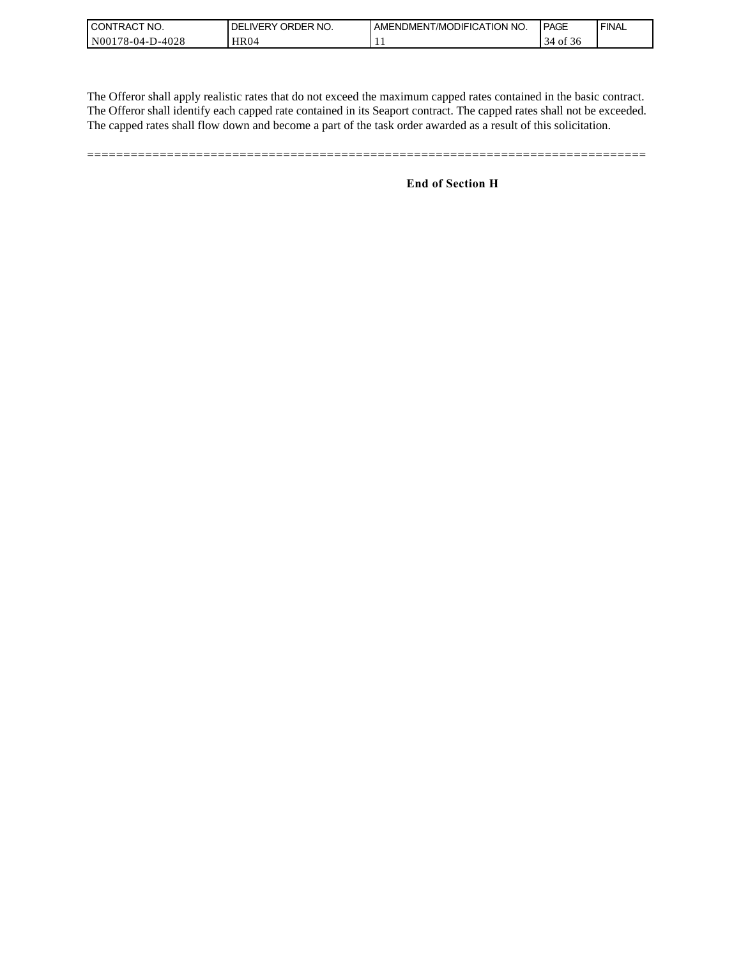| <b>CONTRACT NO.</b> | NO.<br>' ORDER<br><b>DELIVERY</b> | AMENDMENT/MODIFICATION NO. | PAGE            | ' FINAL |
|---------------------|-----------------------------------|----------------------------|-----------------|---------|
| N00178-04-D-4028    | HR04                              | . .                        | 0Ī<br>34<br>-56 |         |

The Offeror shall apply realistic rates that do not exceed the maximum capped rates contained in the basic contract. The Offeror shall identify each capped rate contained in its Seaport contract. The capped rates shall not be exceeded. The capped rates shall flow down and become a part of the task order awarded as a result of this solicitation.

=============================================================================

**End of Section H**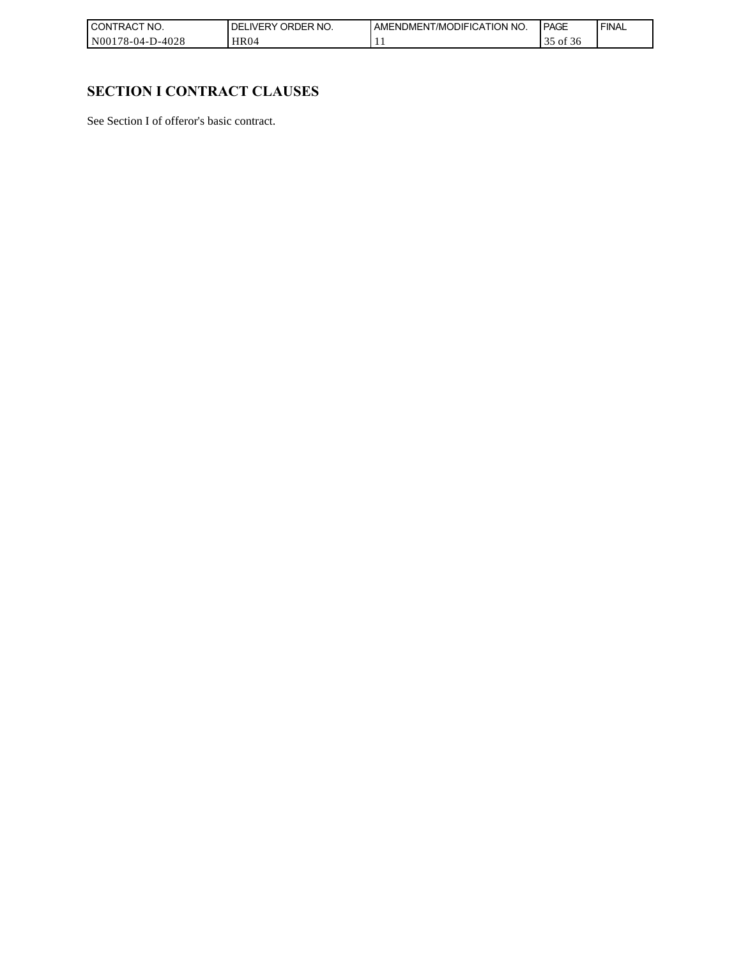| l CON <sup>-</sup><br><b>ITRACT NO.</b> | ORDER NO.<br><b>DELIVERY</b> | AMENDMENT/MODIFICATION NO. | <b>PAGE</b>                                        | ' FINAL |
|-----------------------------------------|------------------------------|----------------------------|----------------------------------------------------|---------|
| N00178-04-D-4028                        | <b>HR04</b>                  |                            | $\sim$ $\sim$<br>$\sim$ $\sim$<br>ОI<br>-30<br>ن ب |         |

# **SECTION I CONTRACT CLAUSES**

See Section I of offeror's basic contract.